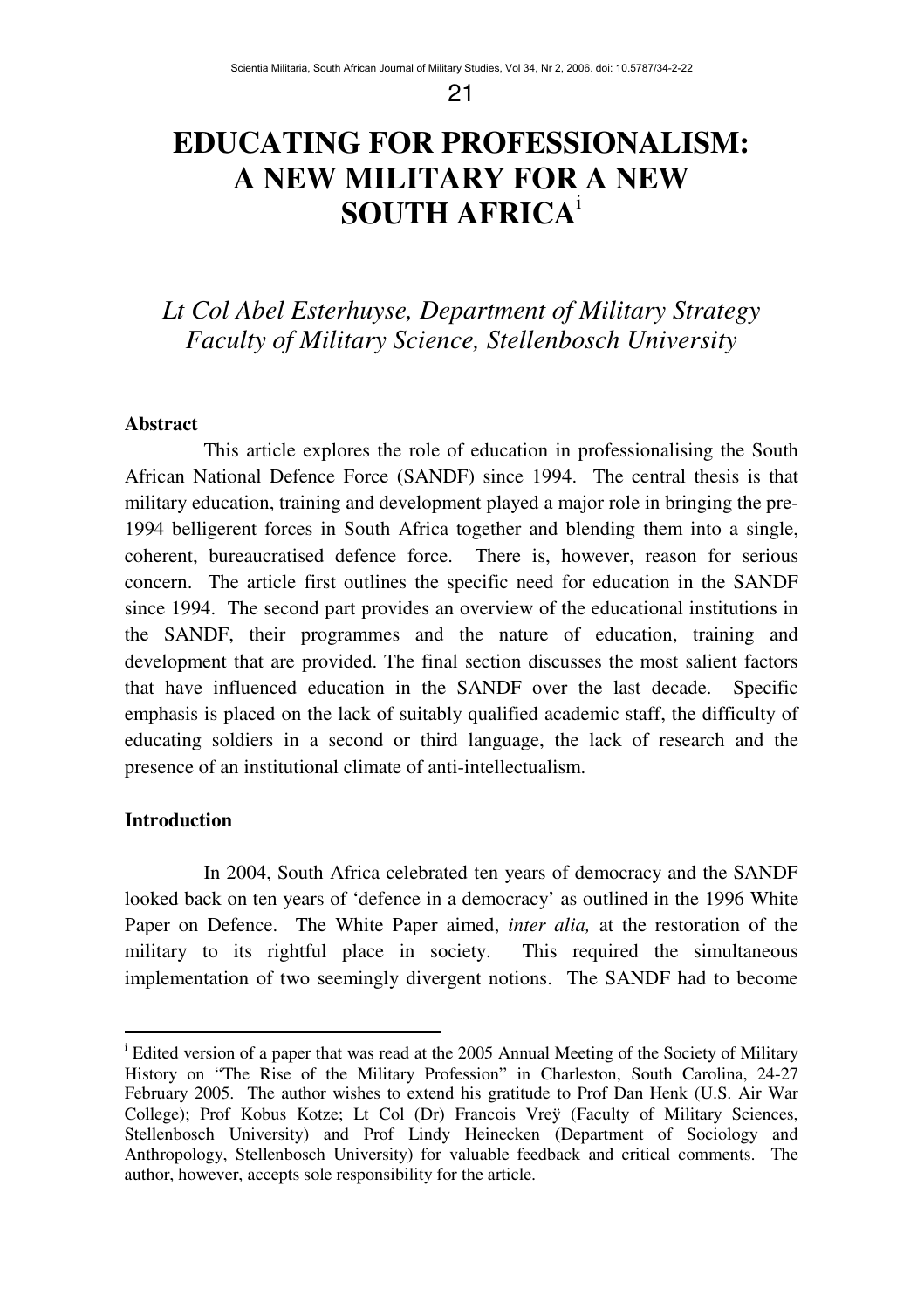# **EDUCATING FOR PROFESSIONALISM: A NEW MILITARY FOR A NEW SOUTH AFRICA** i

## *Lt Col Abel Esterhuyse, Department of Military Strategy Faculty of Military Science, Stellenbosch University*

#### **Abstract**

This article explores the role of education in professionalising the South African National Defence Force (SANDF) since 1994. The central thesis is that military education, training and development played a major role in bringing the pre-1994 belligerent forces in South Africa together and blending them into a single, coherent, bureaucratised defence force. There is, however, reason for serious concern. The article first outlines the specific need for education in the SANDF since 1994. The second part provides an overview of the educational institutions in the SANDF, their programmes and the nature of education, training and development that are provided. The final section discusses the most salient factors that have influenced education in the SANDF over the last decade. Specific emphasis is placed on the lack of suitably qualified academic staff, the difficulty of educating soldiers in a second or third language, the lack of research and the presence of an institutional climate of anti-intellectualism.

## **Introduction**

In 2004, South Africa celebrated ten years of democracy and the SANDF looked back on ten years of 'defence in a democracy' as outlined in the 1996 White Paper on Defence. The White Paper aimed, *inter alia,* at the restoration of the military to its rightful place in society. This required the simultaneous implementation of two seemingly divergent notions. The SANDF had to become

<sup>&</sup>lt;sup>i</sup> Edited version of a paper that was read at the 2005 Annual Meeting of the Society of Military History on "The Rise of the Military Profession" in Charleston, South Carolina, 24-27 February 2005. The author wishes to extend his gratitude to Prof Dan Henk (U.S. Air War College); Prof Kobus Kotze; Lt Col (Dr) Francois Vreÿ (Faculty of Military Sciences, Stellenbosch University) and Prof Lindy Heinecken (Department of Sociology and Anthropology, Stellenbosch University) for valuable feedback and critical comments. The author, however, accepts sole responsibility for the article.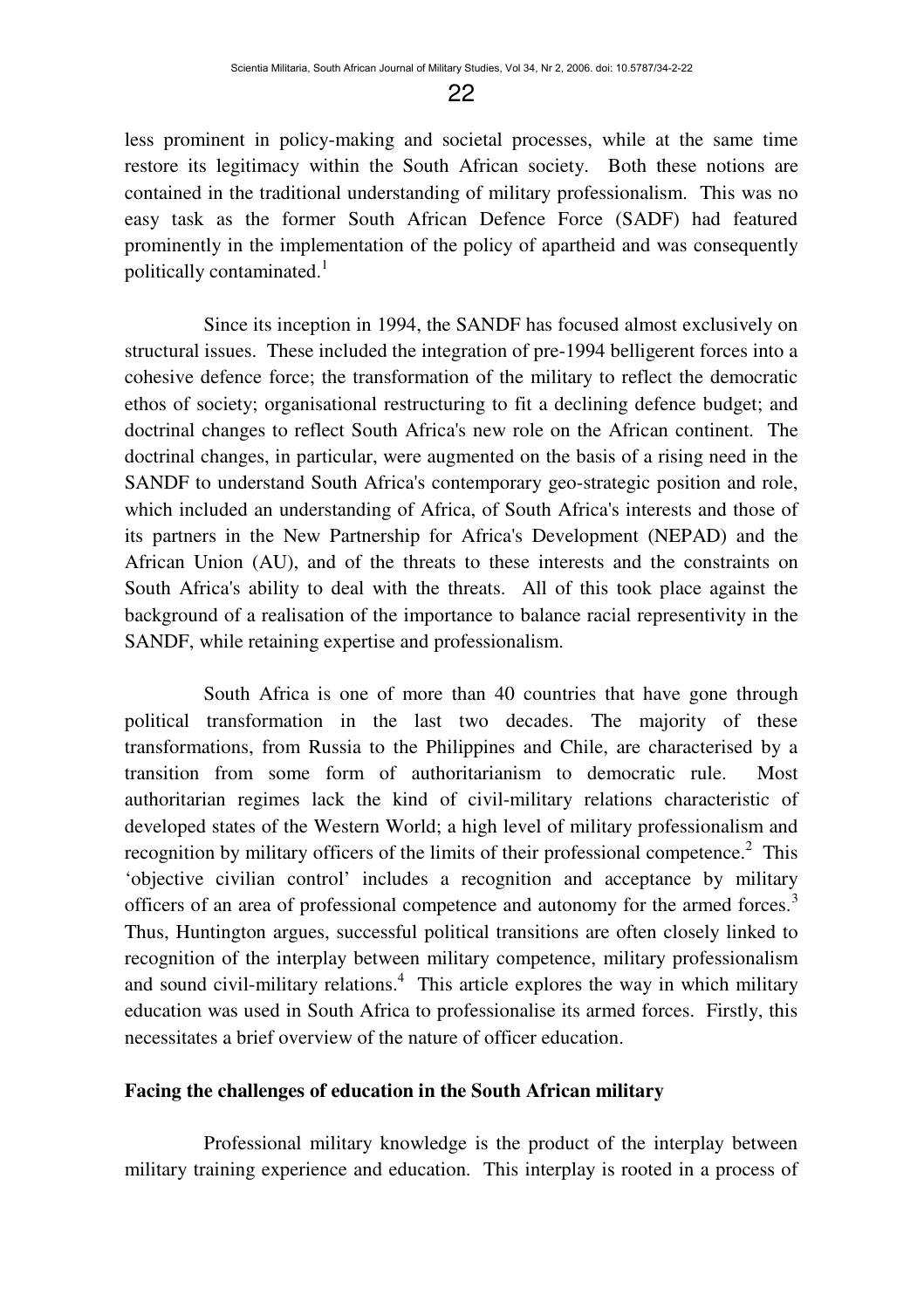less prominent in policy-making and societal processes, while at the same time restore its legitimacy within the South African society. Both these notions are contained in the traditional understanding of military professionalism. This was no easy task as the former South African Defence Force (SADF) had featured prominently in the implementation of the policy of apartheid and was consequently politically contaminated.<sup>1</sup>

Since its inception in 1994, the SANDF has focused almost exclusively on structural issues. These included the integration of pre-1994 belligerent forces into a cohesive defence force; the transformation of the military to reflect the democratic ethos of society; organisational restructuring to fit a declining defence budget; and doctrinal changes to reflect South Africa's new role on the African continent. The doctrinal changes, in particular, were augmented on the basis of a rising need in the SANDF to understand South Africa's contemporary geo-strategic position and role, which included an understanding of Africa, of South Africa's interests and those of its partners in the New Partnership for Africa's Development (NEPAD) and the African Union (AU), and of the threats to these interests and the constraints on South Africa's ability to deal with the threats. All of this took place against the background of a realisation of the importance to balance racial representivity in the SANDF, while retaining expertise and professionalism.

South Africa is one of more than 40 countries that have gone through political transformation in the last two decades. The majority of these transformations, from Russia to the Philippines and Chile, are characterised by a transition from some form of authoritarianism to democratic rule. Most authoritarian regimes lack the kind of civil-military relations characteristic of developed states of the Western World; a high level of military professionalism and recognition by military officers of the limits of their professional competence.<sup>2</sup> This 'objective civilian control' includes a recognition and acceptance by military officers of an area of professional competence and autonomy for the armed forces.<sup>3</sup> Thus, Huntington argues, successful political transitions are often closely linked to recognition of the interplay between military competence, military professionalism and sound civil-military relations.<sup>4</sup> This article explores the way in which military education was used in South Africa to professionalise its armed forces. Firstly, this necessitates a brief overview of the nature of officer education.

#### **Facing the challenges of education in the South African military**

Professional military knowledge is the product of the interplay between military training experience and education. This interplay is rooted in a process of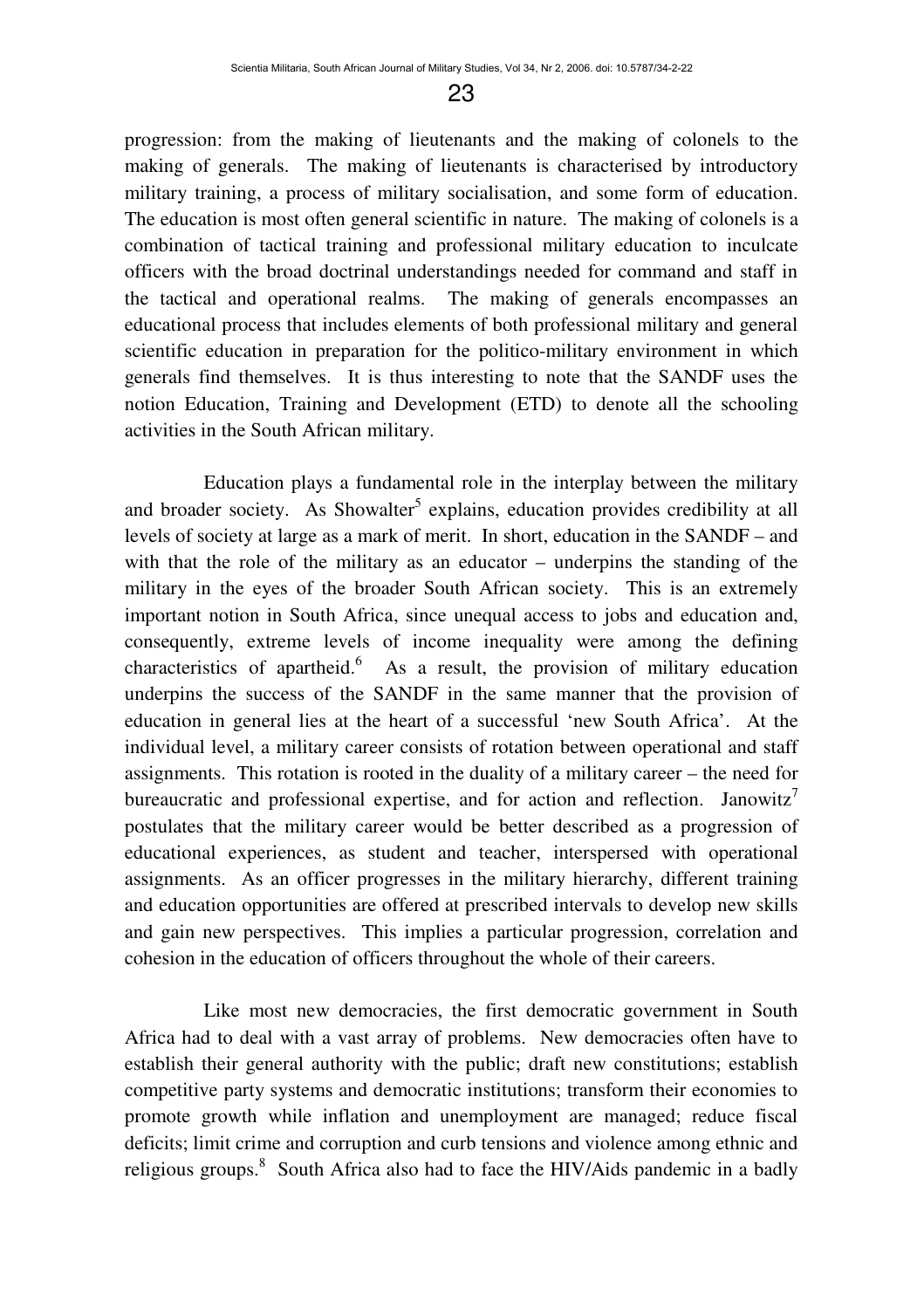progression: from the making of lieutenants and the making of colonels to the making of generals. The making of lieutenants is characterised by introductory military training, a process of military socialisation, and some form of education. The education is most often general scientific in nature. The making of colonels is a combination of tactical training and professional military education to inculcate officers with the broad doctrinal understandings needed for command and staff in the tactical and operational realms. The making of generals encompasses an educational process that includes elements of both professional military and general scientific education in preparation for the politico-military environment in which generals find themselves. It is thus interesting to note that the SANDF uses the notion Education, Training and Development (ETD) to denote all the schooling activities in the South African military.

Education plays a fundamental role in the interplay between the military and broader society. As Showalter<sup>5</sup> explains, education provides credibility at all levels of society at large as a mark of merit. In short, education in the SANDF – and with that the role of the military as an educator – underpins the standing of the military in the eyes of the broader South African society. This is an extremely important notion in South Africa, since unequal access to jobs and education and, consequently, extreme levels of income inequality were among the defining characteristics of apartheid.<sup>6</sup> As a result, the provision of military education underpins the success of the SANDF in the same manner that the provision of education in general lies at the heart of a successful 'new South Africa'. At the individual level, a military career consists of rotation between operational and staff assignments. This rotation is rooted in the duality of a military career – the need for bureaucratic and professional expertise, and for action and reflection. Janowitz<sup>7</sup> postulates that the military career would be better described as a progression of educational experiences, as student and teacher, interspersed with operational assignments. As an officer progresses in the military hierarchy, different training and education opportunities are offered at prescribed intervals to develop new skills and gain new perspectives. This implies a particular progression, correlation and cohesion in the education of officers throughout the whole of their careers.

Like most new democracies, the first democratic government in South Africa had to deal with a vast array of problems. New democracies often have to establish their general authority with the public; draft new constitutions; establish competitive party systems and democratic institutions; transform their economies to promote growth while inflation and unemployment are managed; reduce fiscal deficits; limit crime and corruption and curb tensions and violence among ethnic and religious groups.<sup>8</sup> South Africa also had to face the HIV/Aids pandemic in a badly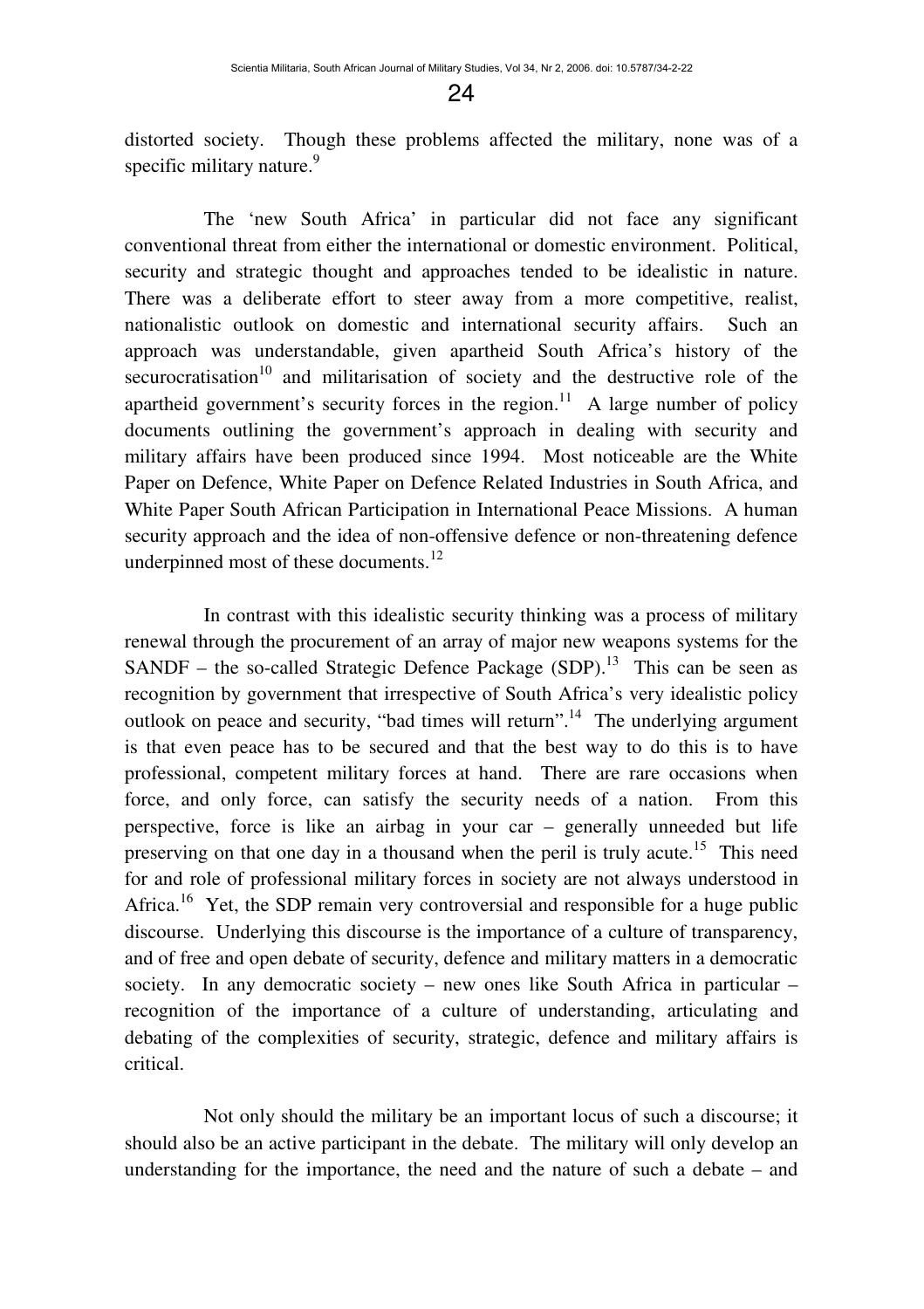distorted society. Though these problems affected the military, none was of a specific military nature.<sup>9</sup>

The 'new South Africa' in particular did not face any significant conventional threat from either the international or domestic environment. Political, security and strategic thought and approaches tended to be idealistic in nature. There was a deliberate effort to steer away from a more competitive, realist, nationalistic outlook on domestic and international security affairs. Such an approach was understandable, given apartheid South Africa's history of the  $securocratisation<sup>10</sup>$  and militarisation of society and the destructive role of the apartheid government's security forces in the region.<sup>11</sup> A large number of policy documents outlining the government's approach in dealing with security and military affairs have been produced since 1994. Most noticeable are the White Paper on Defence, White Paper on Defence Related Industries in South Africa, and White Paper South African Participation in International Peace Missions. A human security approach and the idea of non-offensive defence or non-threatening defence underpinned most of these documents.<sup>12</sup>

In contrast with this idealistic security thinking was a process of military renewal through the procurement of an array of major new weapons systems for the SANDF – the so-called Strategic Defence Package  $(SDP)$ .<sup>13</sup> This can be seen as recognition by government that irrespective of South Africa's very idealistic policy outlook on peace and security, "bad times will return".<sup>14</sup> The underlying argument is that even peace has to be secured and that the best way to do this is to have professional, competent military forces at hand. There are rare occasions when force, and only force, can satisfy the security needs of a nation. From this perspective, force is like an airbag in your car – generally unneeded but life preserving on that one day in a thousand when the peril is truly acute.<sup>15</sup> This need for and role of professional military forces in society are not always understood in Africa.<sup>16</sup> Yet, the SDP remain very controversial and responsible for a huge public discourse. Underlying this discourse is the importance of a culture of transparency, and of free and open debate of security, defence and military matters in a democratic society. In any democratic society – new ones like South Africa in particular – recognition of the importance of a culture of understanding, articulating and debating of the complexities of security, strategic, defence and military affairs is critical.

Not only should the military be an important locus of such a discourse; it should also be an active participant in the debate. The military will only develop an understanding for the importance, the need and the nature of such a debate – and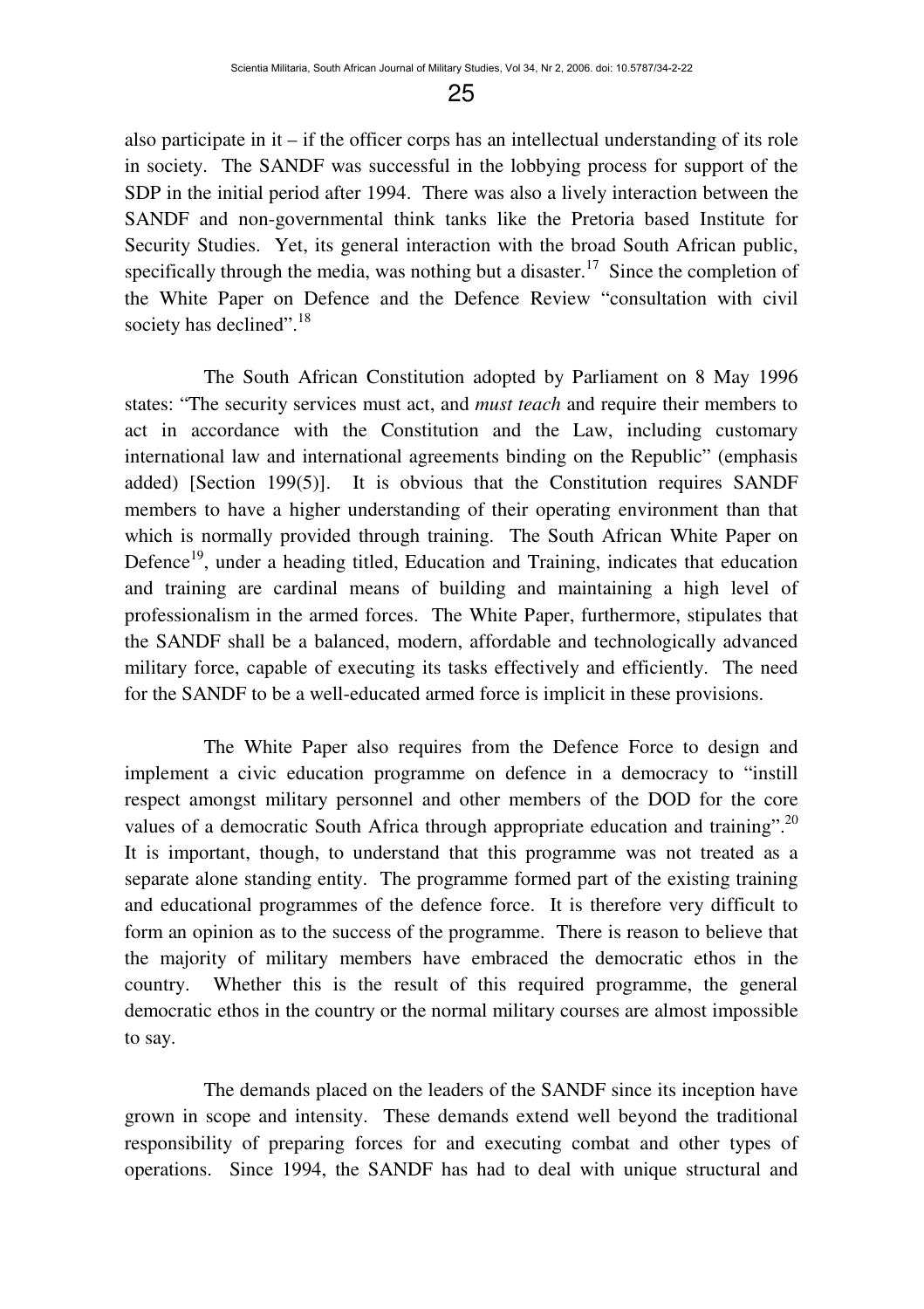also participate in it  $-$  if the officer corps has an intellectual understanding of its role in society. The SANDF was successful in the lobbying process for support of the SDP in the initial period after 1994. There was also a lively interaction between the SANDF and non-governmental think tanks like the Pretoria based Institute for Security Studies. Yet, its general interaction with the broad South African public, specifically through the media, was nothing but a disaster.<sup>17</sup> Since the completion of the White Paper on Defence and the Defence Review "consultation with civil society has declined".<sup>18</sup>

The South African Constitution adopted by Parliament on 8 May 1996 states: "The security services must act, and *must teach* and require their members to act in accordance with the Constitution and the Law, including customary international law and international agreements binding on the Republic" (emphasis added) [Section 199(5)]. It is obvious that the Constitution requires SANDF members to have a higher understanding of their operating environment than that which is normally provided through training. The South African White Paper on Defence<sup>19</sup>, under a heading titled, Education and Training, indicates that education and training are cardinal means of building and maintaining a high level of professionalism in the armed forces. The White Paper, furthermore, stipulates that the SANDF shall be a balanced, modern, affordable and technologically advanced military force, capable of executing its tasks effectively and efficiently. The need for the SANDF to be a well-educated armed force is implicit in these provisions.

The White Paper also requires from the Defence Force to design and implement a civic education programme on defence in a democracy to "instill respect amongst military personnel and other members of the DOD for the core values of a democratic South Africa through appropriate education and training".<sup>20</sup> It is important, though, to understand that this programme was not treated as a separate alone standing entity. The programme formed part of the existing training and educational programmes of the defence force. It is therefore very difficult to form an opinion as to the success of the programme. There is reason to believe that the majority of military members have embraced the democratic ethos in the country. Whether this is the result of this required programme, the general democratic ethos in the country or the normal military courses are almost impossible to say.

The demands placed on the leaders of the SANDF since its inception have grown in scope and intensity. These demands extend well beyond the traditional responsibility of preparing forces for and executing combat and other types of operations. Since 1994, the SANDF has had to deal with unique structural and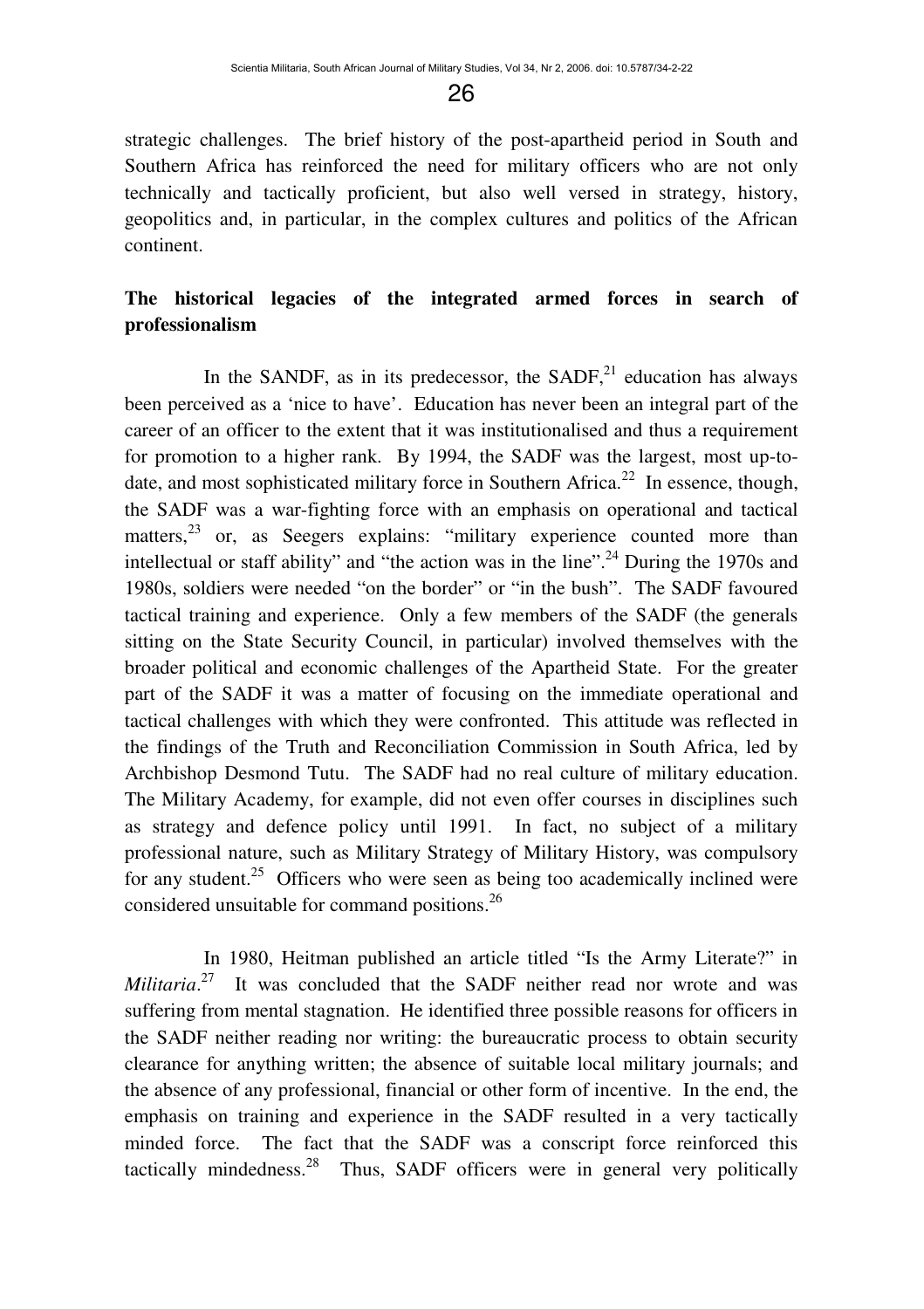strategic challenges. The brief history of the post-apartheid period in South and Southern Africa has reinforced the need for military officers who are not only technically and tactically proficient, but also well versed in strategy, history, geopolitics and, in particular, in the complex cultures and politics of the African continent.

## **The historical legacies of the integrated armed forces in search of professionalism**

In the SANDF, as in its predecessor, the SADF, $21$  education has always been perceived as a 'nice to have'. Education has never been an integral part of the career of an officer to the extent that it was institutionalised and thus a requirement for promotion to a higher rank. By 1994, the SADF was the largest, most up-todate, and most sophisticated military force in Southern Africa.<sup>22</sup> In essence, though, the SADF was a war-fighting force with an emphasis on operational and tactical matters,<sup>23</sup> or, as Seegers explains: "military experience counted more than intellectual or staff ability" and "the action was in the line".<sup>24</sup> During the 1970s and 1980s, soldiers were needed "on the border" or "in the bush". The SADF favoured tactical training and experience. Only a few members of the SADF (the generals sitting on the State Security Council, in particular) involved themselves with the broader political and economic challenges of the Apartheid State. For the greater part of the SADF it was a matter of focusing on the immediate operational and tactical challenges with which they were confronted. This attitude was reflected in the findings of the Truth and Reconciliation Commission in South Africa, led by Archbishop Desmond Tutu. The SADF had no real culture of military education. The Military Academy, for example, did not even offer courses in disciplines such as strategy and defence policy until 1991. In fact, no subject of a military professional nature, such as Military Strategy of Military History, was compulsory for any student.<sup>25</sup> Officers who were seen as being too academically inclined were considered unsuitable for command positions.<sup>26</sup>

In 1980, Heitman published an article titled "Is the Army Literate?" in *Militaria*.<sup>27</sup> It was concluded that the SADF neither read nor wrote and was suffering from mental stagnation. He identified three possible reasons for officers in the SADF neither reading nor writing: the bureaucratic process to obtain security clearance for anything written; the absence of suitable local military journals; and the absence of any professional, financial or other form of incentive. In the end, the emphasis on training and experience in the SADF resulted in a very tactically minded force. The fact that the SADF was a conscript force reinforced this tactically mindedness. $^{28}$  Thus, SADF officers were in general very politically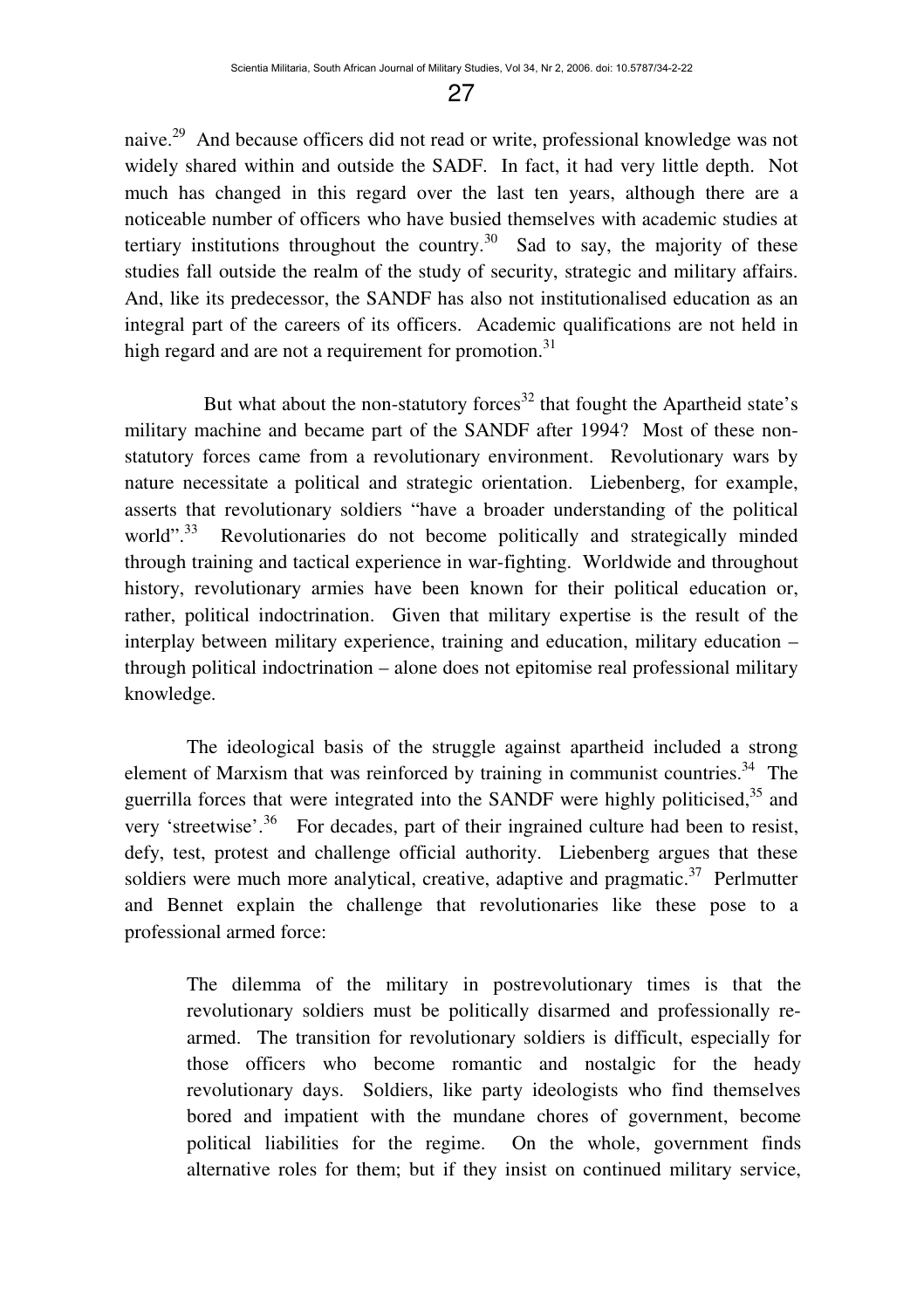naive.<sup>29</sup> And because officers did not read or write, professional knowledge was not widely shared within and outside the SADF. In fact, it had very little depth. Not much has changed in this regard over the last ten years, although there are a noticeable number of officers who have busied themselves with academic studies at tertiary institutions throughout the country.<sup>30</sup> Sad to say, the majority of these studies fall outside the realm of the study of security, strategic and military affairs. And, like its predecessor, the SANDF has also not institutionalised education as an integral part of the careers of its officers. Academic qualifications are not held in high regard and are not a requirement for promotion.<sup>31</sup>

But what about the non-statutory forces $32$  that fought the Apartheid state's military machine and became part of the SANDF after 1994? Most of these nonstatutory forces came from a revolutionary environment. Revolutionary wars by nature necessitate a political and strategic orientation. Liebenberg, for example, asserts that revolutionary soldiers "have a broader understanding of the political world".<sup>33</sup> Revolutionaries do not become politically and strategically minded through training and tactical experience in war-fighting. Worldwide and throughout history, revolutionary armies have been known for their political education or, rather, political indoctrination. Given that military expertise is the result of the interplay between military experience, training and education, military education – through political indoctrination – alone does not epitomise real professional military knowledge.

The ideological basis of the struggle against apartheid included a strong element of Marxism that was reinforced by training in communist countries.<sup>34</sup> The guerrilla forces that were integrated into the SANDF were highly politicised, $35$  and very 'streetwise'.<sup>36</sup> For decades, part of their ingrained culture had been to resist, defy, test, protest and challenge official authority. Liebenberg argues that these soldiers were much more analytical, creative, adaptive and pragmatic. $37$  Perlmutter and Bennet explain the challenge that revolutionaries like these pose to a professional armed force:

The dilemma of the military in postrevolutionary times is that the revolutionary soldiers must be politically disarmed and professionally rearmed. The transition for revolutionary soldiers is difficult, especially for those officers who become romantic and nostalgic for the heady revolutionary days. Soldiers, like party ideologists who find themselves bored and impatient with the mundane chores of government, become political liabilities for the regime. On the whole, government finds alternative roles for them; but if they insist on continued military service,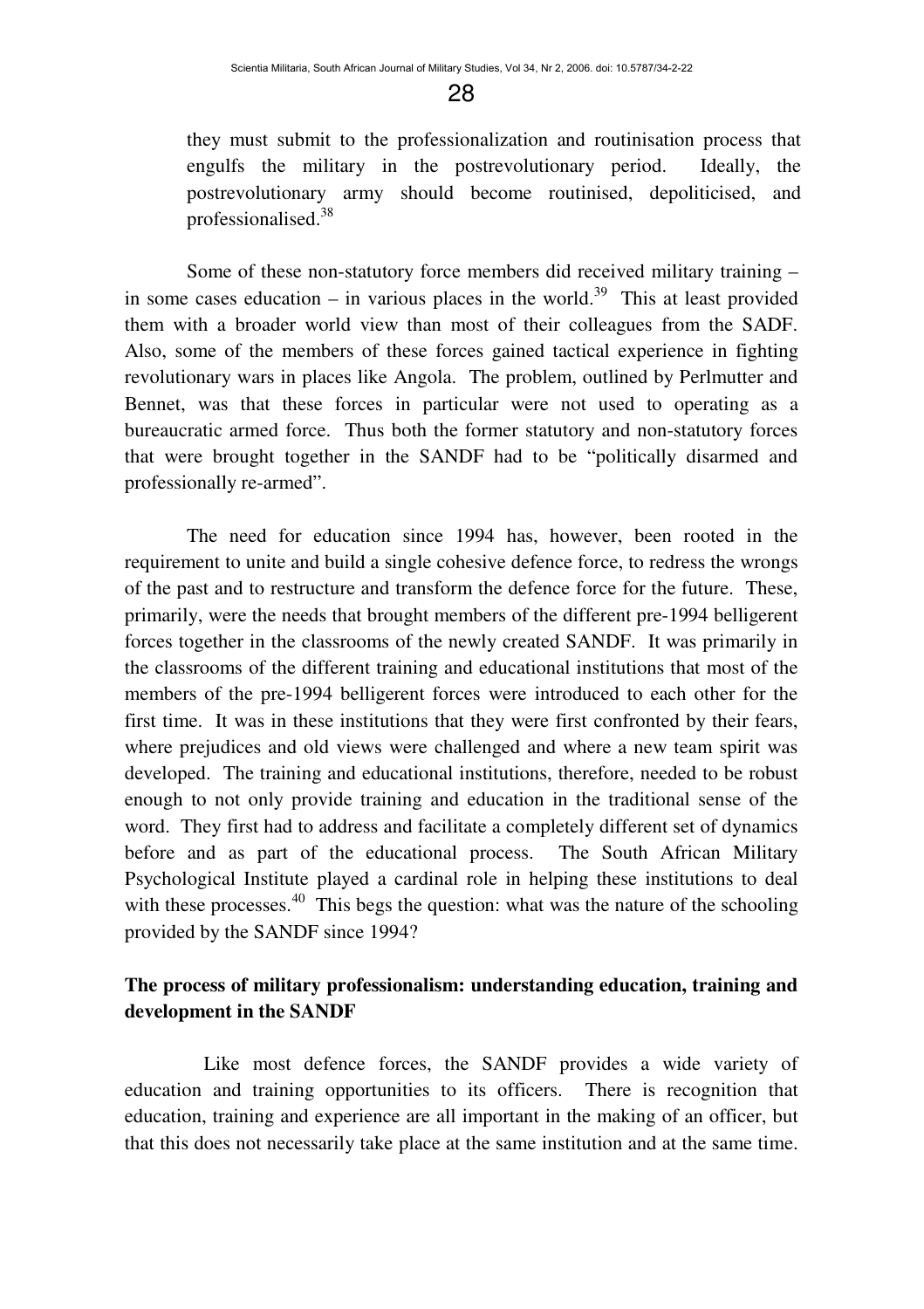they must submit to the professionalization and routinisation process that engulfs the military in the postrevolutionary period. Ideally, the postrevolutionary army should become routinised, depoliticised, and professionalised.<sup>38</sup>

Some of these non-statutory force members did received military training – in some cases education – in various places in the world.<sup>39</sup> This at least provided them with a broader world view than most of their colleagues from the SADF. Also, some of the members of these forces gained tactical experience in fighting revolutionary wars in places like Angola. The problem, outlined by Perlmutter and Bennet, was that these forces in particular were not used to operating as a bureaucratic armed force. Thus both the former statutory and non-statutory forces that were brought together in the SANDF had to be "politically disarmed and professionally re-armed".

The need for education since 1994 has, however, been rooted in the requirement to unite and build a single cohesive defence force, to redress the wrongs of the past and to restructure and transform the defence force for the future. These, primarily, were the needs that brought members of the different pre-1994 belligerent forces together in the classrooms of the newly created SANDF. It was primarily in the classrooms of the different training and educational institutions that most of the members of the pre-1994 belligerent forces were introduced to each other for the first time. It was in these institutions that they were first confronted by their fears, where prejudices and old views were challenged and where a new team spirit was developed. The training and educational institutions, therefore, needed to be robust enough to not only provide training and education in the traditional sense of the word. They first had to address and facilitate a completely different set of dynamics before and as part of the educational process. The South African Military Psychological Institute played a cardinal role in helping these institutions to deal with these processes.<sup>40</sup> This begs the question: what was the nature of the schooling provided by the SANDF since 1994?

## **The process of military professionalism: understanding education, training and development in the SANDF**

Like most defence forces, the SANDF provides a wide variety of education and training opportunities to its officers. There is recognition that education, training and experience are all important in the making of an officer, but that this does not necessarily take place at the same institution and at the same time.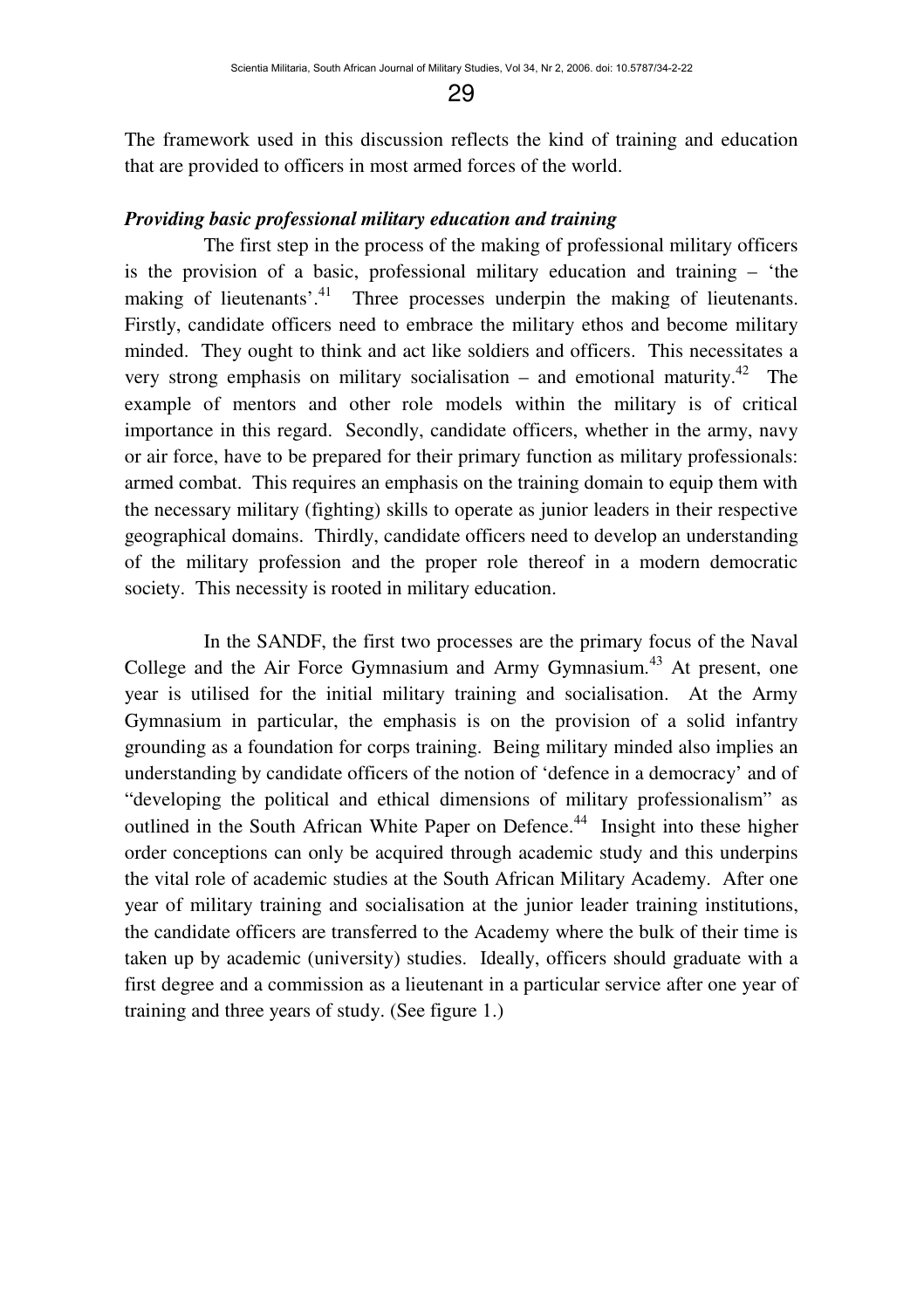The framework used in this discussion reflects the kind of training and education that are provided to officers in most armed forces of the world.

#### *Providing basic professional military education and training*

The first step in the process of the making of professional military officers is the provision of a basic, professional military education and training – 'the making of lieutenants'.<sup>41</sup> Three processes underpin the making of lieutenants. Firstly, candidate officers need to embrace the military ethos and become military minded. They ought to think and act like soldiers and officers. This necessitates a very strong emphasis on military socialisation – and emotional maturity.<sup>42</sup> The example of mentors and other role models within the military is of critical importance in this regard. Secondly, candidate officers, whether in the army, navy or air force, have to be prepared for their primary function as military professionals: armed combat. This requires an emphasis on the training domain to equip them with the necessary military (fighting) skills to operate as junior leaders in their respective geographical domains. Thirdly, candidate officers need to develop an understanding of the military profession and the proper role thereof in a modern democratic society. This necessity is rooted in military education.

In the SANDF, the first two processes are the primary focus of the Naval College and the Air Force Gymnasium and Army Gymnasium.<sup>43</sup> At present, one year is utilised for the initial military training and socialisation. At the Army Gymnasium in particular, the emphasis is on the provision of a solid infantry grounding as a foundation for corps training. Being military minded also implies an understanding by candidate officers of the notion of 'defence in a democracy' and of "developing the political and ethical dimensions of military professionalism" as outlined in the South African White Paper on Defence.<sup>44</sup> Insight into these higher order conceptions can only be acquired through academic study and this underpins the vital role of academic studies at the South African Military Academy. After one year of military training and socialisation at the junior leader training institutions, the candidate officers are transferred to the Academy where the bulk of their time is taken up by academic (university) studies. Ideally, officers should graduate with a first degree and a commission as a lieutenant in a particular service after one year of training and three years of study. (See figure 1.)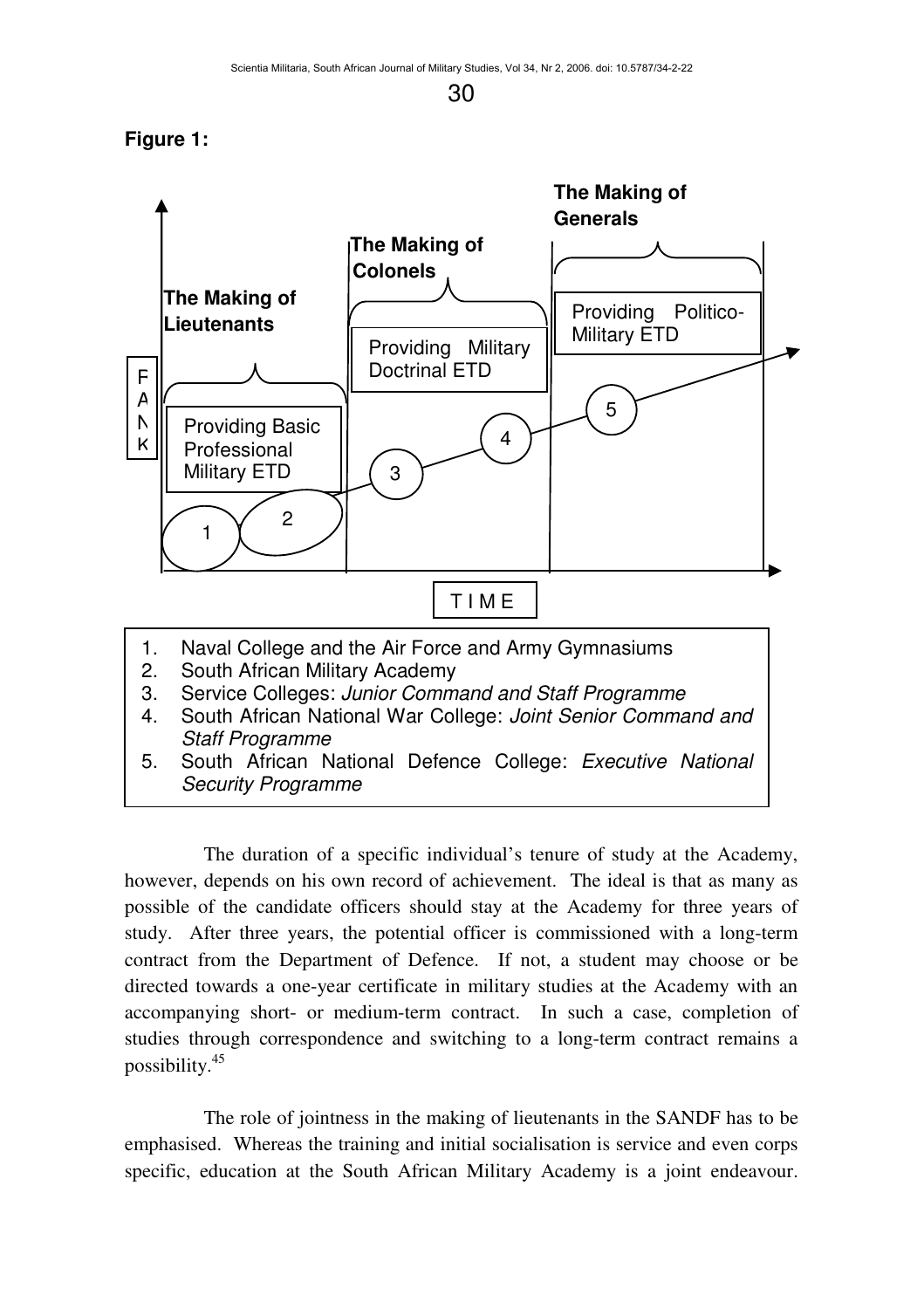## **Figure 1:**



The duration of a specific individual's tenure of study at the Academy, however, depends on his own record of achievement. The ideal is that as many as possible of the candidate officers should stay at the Academy for three years of study. After three years, the potential officer is commissioned with a long-term contract from the Department of Defence. If not, a student may choose or be directed towards a one-year certificate in military studies at the Academy with an accompanying short- or medium-term contract. In such a case, completion of studies through correspondence and switching to a long-term contract remains a possibility.<sup>45</sup>

The role of jointness in the making of lieutenants in the SANDF has to be emphasised. Whereas the training and initial socialisation is service and even corps specific, education at the South African Military Academy is a joint endeavour.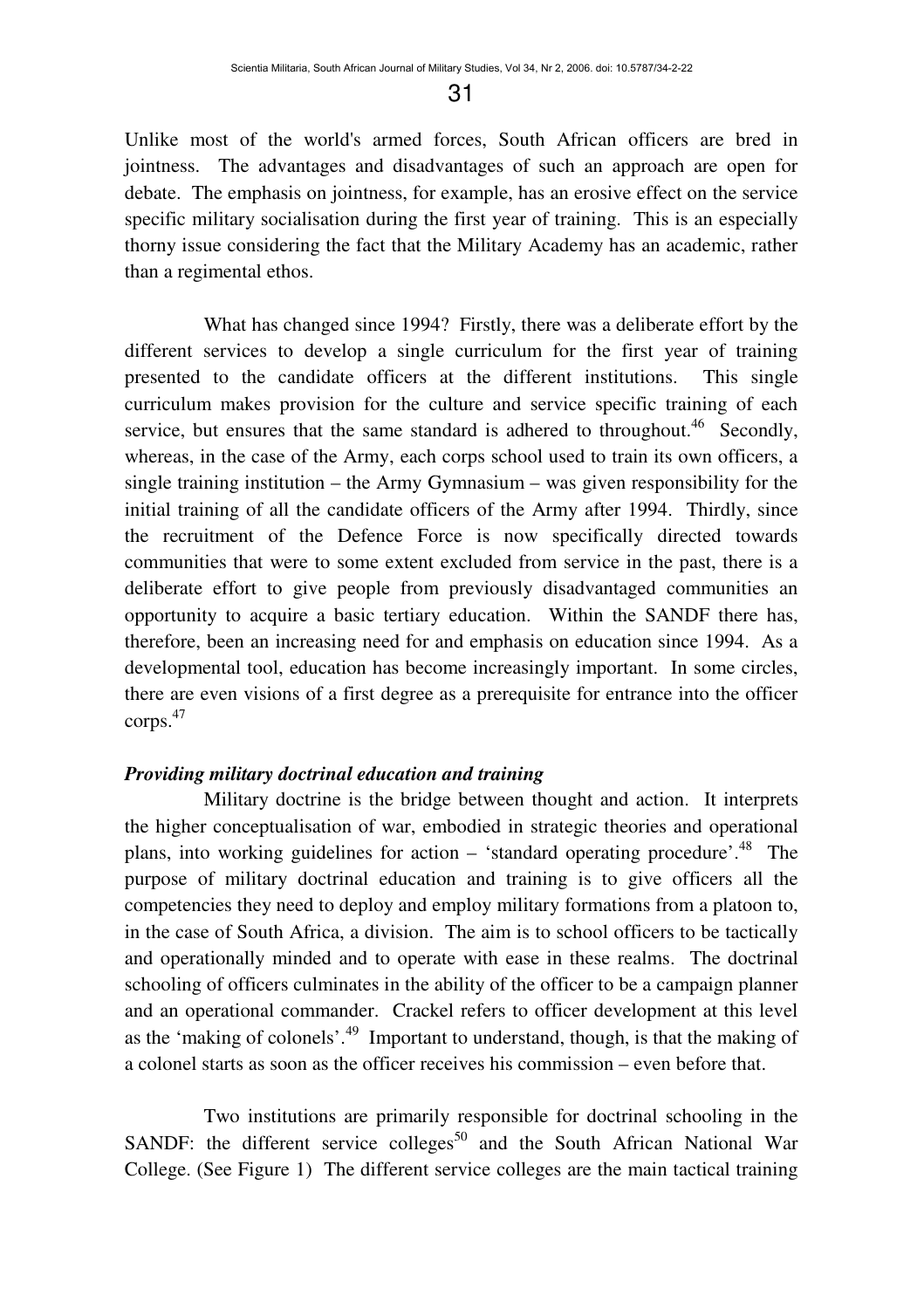Unlike most of the world's armed forces, South African officers are bred in jointness. The advantages and disadvantages of such an approach are open for debate. The emphasis on jointness, for example, has an erosive effect on the service specific military socialisation during the first year of training. This is an especially thorny issue considering the fact that the Military Academy has an academic, rather than a regimental ethos.

What has changed since 1994? Firstly, there was a deliberate effort by the different services to develop a single curriculum for the first year of training presented to the candidate officers at the different institutions. This single curriculum makes provision for the culture and service specific training of each service, but ensures that the same standard is adhered to throughout.<sup>46</sup> Secondly, whereas, in the case of the Army, each corps school used to train its own officers, a single training institution – the Army Gymnasium – was given responsibility for the initial training of all the candidate officers of the Army after 1994. Thirdly, since the recruitment of the Defence Force is now specifically directed towards communities that were to some extent excluded from service in the past, there is a deliberate effort to give people from previously disadvantaged communities an opportunity to acquire a basic tertiary education. Within the SANDF there has, therefore, been an increasing need for and emphasis on education since 1994. As a developmental tool, education has become increasingly important. In some circles, there are even visions of a first degree as a prerequisite for entrance into the officer corps.<sup>47</sup>

#### *Providing military doctrinal education and training*

Military doctrine is the bridge between thought and action. It interprets the higher conceptualisation of war, embodied in strategic theories and operational plans, into working guidelines for action – 'standard operating procedure'.<sup>48</sup> The purpose of military doctrinal education and training is to give officers all the competencies they need to deploy and employ military formations from a platoon to, in the case of South Africa, a division. The aim is to school officers to be tactically and operationally minded and to operate with ease in these realms. The doctrinal schooling of officers culminates in the ability of the officer to be a campaign planner and an operational commander. Crackel refers to officer development at this level as the 'making of colonels'.<sup>49</sup> Important to understand, though, is that the making of a colonel starts as soon as the officer receives his commission – even before that.

Two institutions are primarily responsible for doctrinal schooling in the SANDF: the different service colleges<sup>50</sup> and the South African National War College. (See Figure 1) The different service colleges are the main tactical training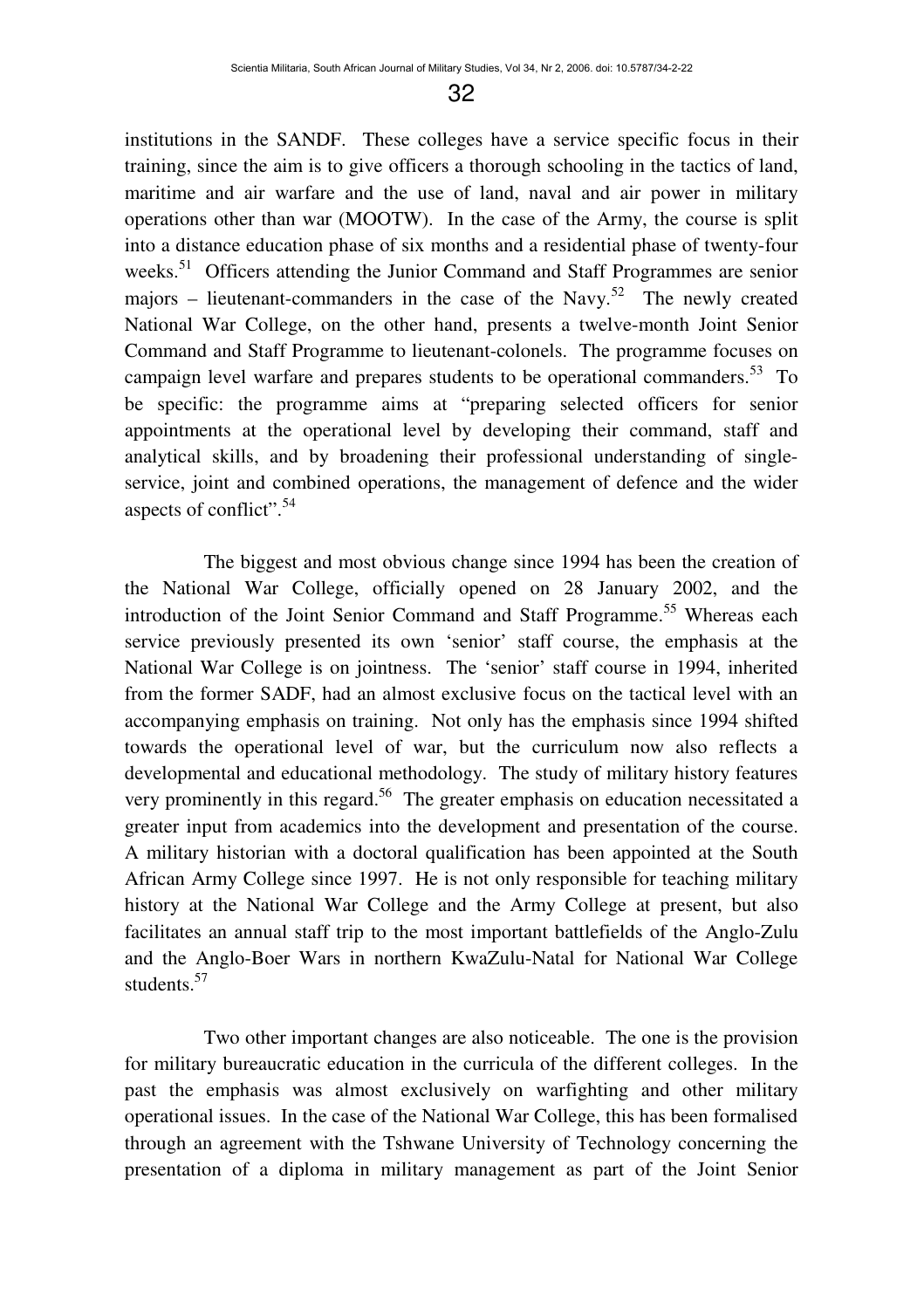institutions in the SANDF. These colleges have a service specific focus in their training, since the aim is to give officers a thorough schooling in the tactics of land, maritime and air warfare and the use of land, naval and air power in military operations other than war (MOOTW). In the case of the Army, the course is split into a distance education phase of six months and a residential phase of twenty-four weeks.<sup>51</sup> Officers attending the Junior Command and Staff Programmes are senior majors – lieutenant-commanders in the case of the Navy.<sup>52</sup> The newly created National War College, on the other hand, presents a twelve-month Joint Senior Command and Staff Programme to lieutenant-colonels. The programme focuses on campaign level warfare and prepares students to be operational commanders.<sup>53</sup> To be specific: the programme aims at "preparing selected officers for senior appointments at the operational level by developing their command, staff and analytical skills, and by broadening their professional understanding of singleservice, joint and combined operations, the management of defence and the wider aspects of conflict".<sup>54</sup>

The biggest and most obvious change since 1994 has been the creation of the National War College, officially opened on 28 January 2002, and the introduction of the Joint Senior Command and Staff Programme.<sup>55</sup> Whereas each service previously presented its own 'senior' staff course, the emphasis at the National War College is on jointness. The 'senior' staff course in 1994, inherited from the former SADF, had an almost exclusive focus on the tactical level with an accompanying emphasis on training. Not only has the emphasis since 1994 shifted towards the operational level of war, but the curriculum now also reflects a developmental and educational methodology. The study of military history features very prominently in this regard.<sup>56</sup> The greater emphasis on education necessitated a greater input from academics into the development and presentation of the course. A military historian with a doctoral qualification has been appointed at the South African Army College since 1997. He is not only responsible for teaching military history at the National War College and the Army College at present, but also facilitates an annual staff trip to the most important battlefields of the Anglo-Zulu and the Anglo-Boer Wars in northern KwaZulu-Natal for National War College students<sup>57</sup>

Two other important changes are also noticeable. The one is the provision for military bureaucratic education in the curricula of the different colleges. In the past the emphasis was almost exclusively on warfighting and other military operational issues. In the case of the National War College, this has been formalised through an agreement with the Tshwane University of Technology concerning the presentation of a diploma in military management as part of the Joint Senior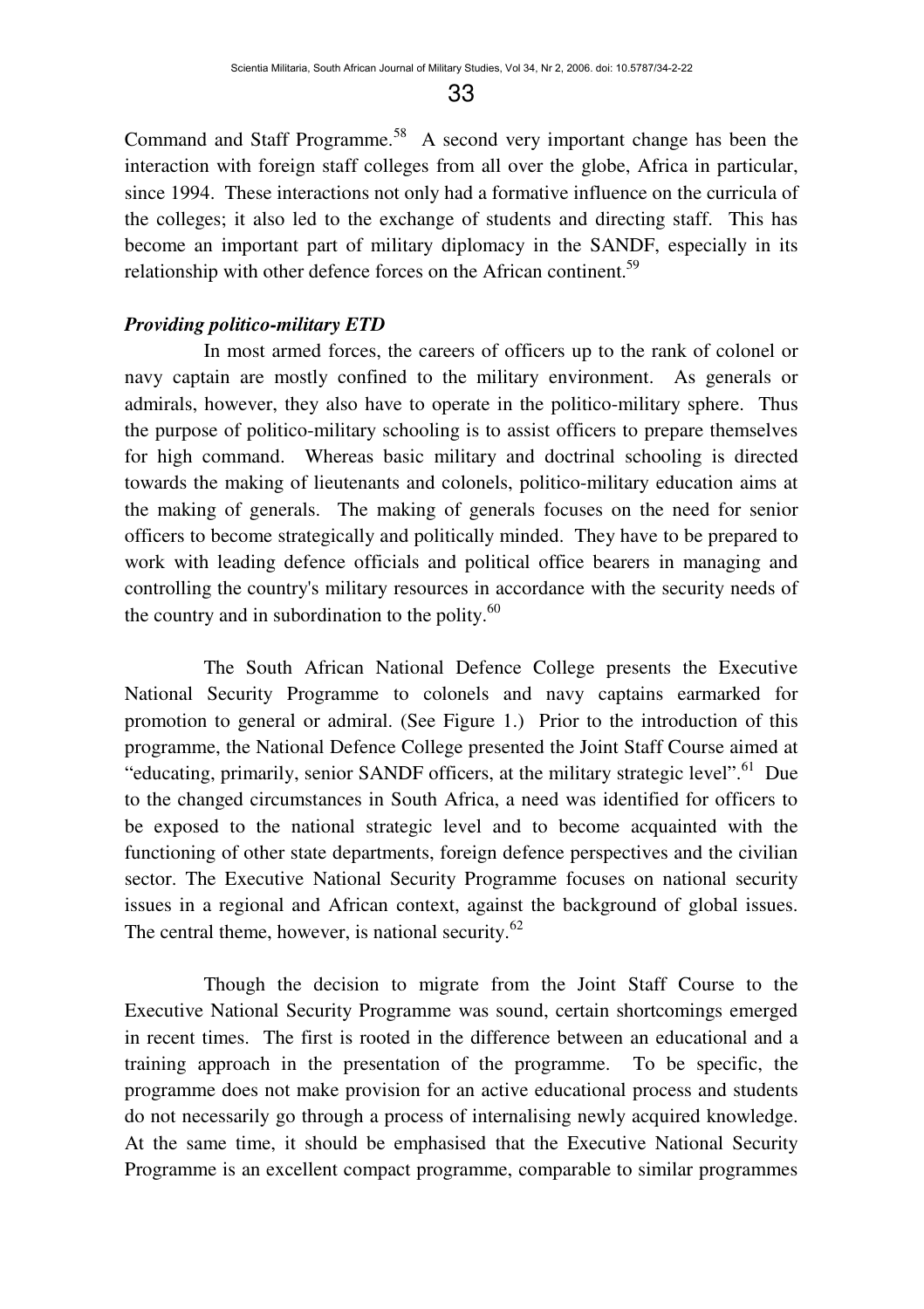Command and Staff Programme.<sup>58</sup> A second very important change has been the interaction with foreign staff colleges from all over the globe, Africa in particular, since 1994. These interactions not only had a formative influence on the curricula of the colleges; it also led to the exchange of students and directing staff. This has become an important part of military diplomacy in the SANDF, especially in its relationship with other defence forces on the African continent.<sup>59</sup>

#### *Providing politico-military ETD*

In most armed forces, the careers of officers up to the rank of colonel or navy captain are mostly confined to the military environment. As generals or admirals, however, they also have to operate in the politico-military sphere. Thus the purpose of politico-military schooling is to assist officers to prepare themselves for high command. Whereas basic military and doctrinal schooling is directed towards the making of lieutenants and colonels, politico-military education aims at the making of generals. The making of generals focuses on the need for senior officers to become strategically and politically minded. They have to be prepared to work with leading defence officials and political office bearers in managing and controlling the country's military resources in accordance with the security needs of the country and in subordination to the polity. $60$ 

The South African National Defence College presents the Executive National Security Programme to colonels and navy captains earmarked for promotion to general or admiral. (See Figure 1.) Prior to the introduction of this programme, the National Defence College presented the Joint Staff Course aimed at "educating, primarily, senior SANDF officers, at the military strategic level".<sup>61</sup> Due to the changed circumstances in South Africa, a need was identified for officers to be exposed to the national strategic level and to become acquainted with the functioning of other state departments, foreign defence perspectives and the civilian sector. The Executive National Security Programme focuses on national security issues in a regional and African context, against the background of global issues. The central theme, however, is national security. $62$ 

Though the decision to migrate from the Joint Staff Course to the Executive National Security Programme was sound, certain shortcomings emerged in recent times. The first is rooted in the difference between an educational and a training approach in the presentation of the programme. To be specific, the programme does not make provision for an active educational process and students do not necessarily go through a process of internalising newly acquired knowledge. At the same time, it should be emphasised that the Executive National Security Programme is an excellent compact programme, comparable to similar programmes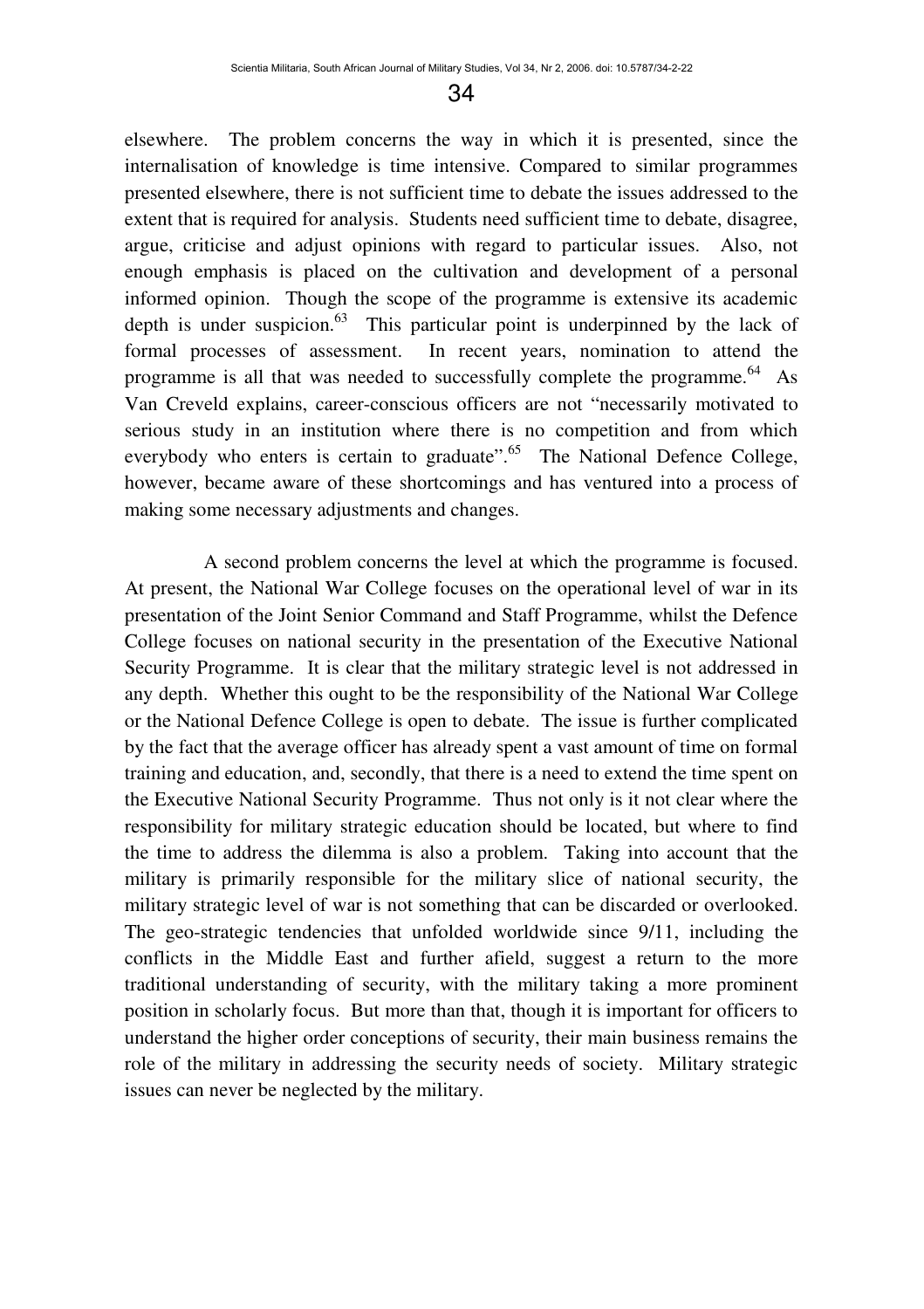elsewhere. The problem concerns the way in which it is presented, since the internalisation of knowledge is time intensive. Compared to similar programmes presented elsewhere, there is not sufficient time to debate the issues addressed to the extent that is required for analysis. Students need sufficient time to debate, disagree, argue, criticise and adjust opinions with regard to particular issues. Also, not enough emphasis is placed on the cultivation and development of a personal informed opinion. Though the scope of the programme is extensive its academic depth is under suspicion. $63$  This particular point is underpinned by the lack of formal processes of assessment. In recent years, nomination to attend the programme is all that was needed to successfully complete the programme.<sup>64</sup> As Van Creveld explains, career-conscious officers are not "necessarily motivated to serious study in an institution where there is no competition and from which everybody who enters is certain to graduate".<sup>65</sup> The National Defence College, however, became aware of these shortcomings and has ventured into a process of making some necessary adjustments and changes.

A second problem concerns the level at which the programme is focused. At present, the National War College focuses on the operational level of war in its presentation of the Joint Senior Command and Staff Programme, whilst the Defence College focuses on national security in the presentation of the Executive National Security Programme. It is clear that the military strategic level is not addressed in any depth. Whether this ought to be the responsibility of the National War College or the National Defence College is open to debate. The issue is further complicated by the fact that the average officer has already spent a vast amount of time on formal training and education, and, secondly, that there is a need to extend the time spent on the Executive National Security Programme. Thus not only is it not clear where the responsibility for military strategic education should be located, but where to find the time to address the dilemma is also a problem. Taking into account that the military is primarily responsible for the military slice of national security, the military strategic level of war is not something that can be discarded or overlooked. The geo-strategic tendencies that unfolded worldwide since 9/11, including the conflicts in the Middle East and further afield, suggest a return to the more traditional understanding of security, with the military taking a more prominent position in scholarly focus. But more than that, though it is important for officers to understand the higher order conceptions of security, their main business remains the role of the military in addressing the security needs of society. Military strategic issues can never be neglected by the military.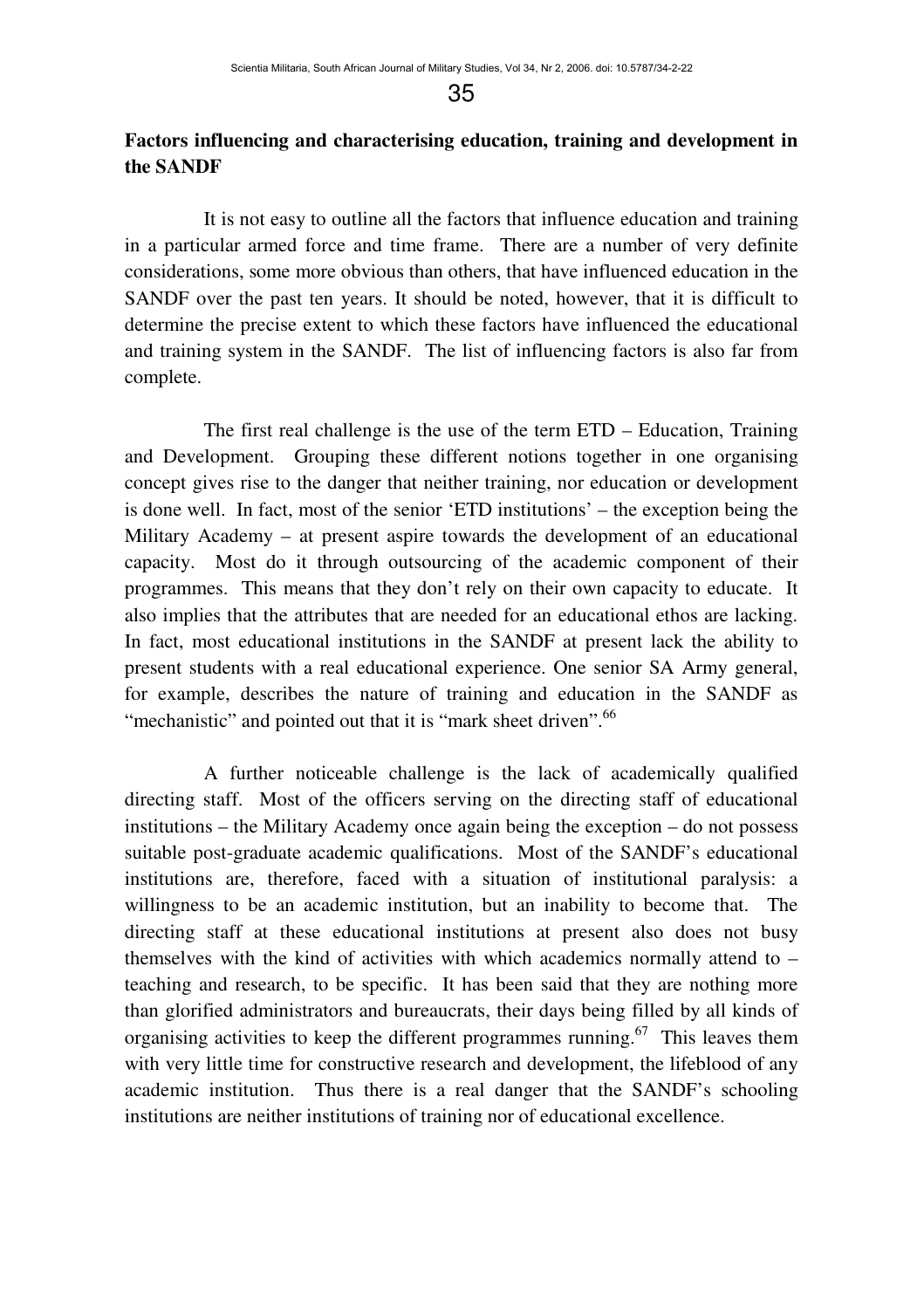## **Factors influencing and characterising education, training and development in the SANDF**

It is not easy to outline all the factors that influence education and training in a particular armed force and time frame. There are a number of very definite considerations, some more obvious than others, that have influenced education in the SANDF over the past ten years. It should be noted, however, that it is difficult to determine the precise extent to which these factors have influenced the educational and training system in the SANDF. The list of influencing factors is also far from complete.

The first real challenge is the use of the term ETD – Education, Training and Development. Grouping these different notions together in one organising concept gives rise to the danger that neither training, nor education or development is done well. In fact, most of the senior 'ETD institutions' – the exception being the Military Academy – at present aspire towards the development of an educational capacity. Most do it through outsourcing of the academic component of their programmes. This means that they don't rely on their own capacity to educate. It also implies that the attributes that are needed for an educational ethos are lacking. In fact, most educational institutions in the SANDF at present lack the ability to present students with a real educational experience. One senior SA Army general, for example, describes the nature of training and education in the SANDF as "mechanistic" and pointed out that it is "mark sheet driven".<sup>66</sup>

A further noticeable challenge is the lack of academically qualified directing staff. Most of the officers serving on the directing staff of educational institutions – the Military Academy once again being the exception – do not possess suitable post-graduate academic qualifications. Most of the SANDF's educational institutions are, therefore, faced with a situation of institutional paralysis: a willingness to be an academic institution, but an inability to become that. The directing staff at these educational institutions at present also does not busy themselves with the kind of activities with which academics normally attend to – teaching and research, to be specific. It has been said that they are nothing more than glorified administrators and bureaucrats, their days being filled by all kinds of organising activities to keep the different programmes running.<sup>67</sup> This leaves them with very little time for constructive research and development, the lifeblood of any academic institution. Thus there is a real danger that the SANDF's schooling institutions are neither institutions of training nor of educational excellence.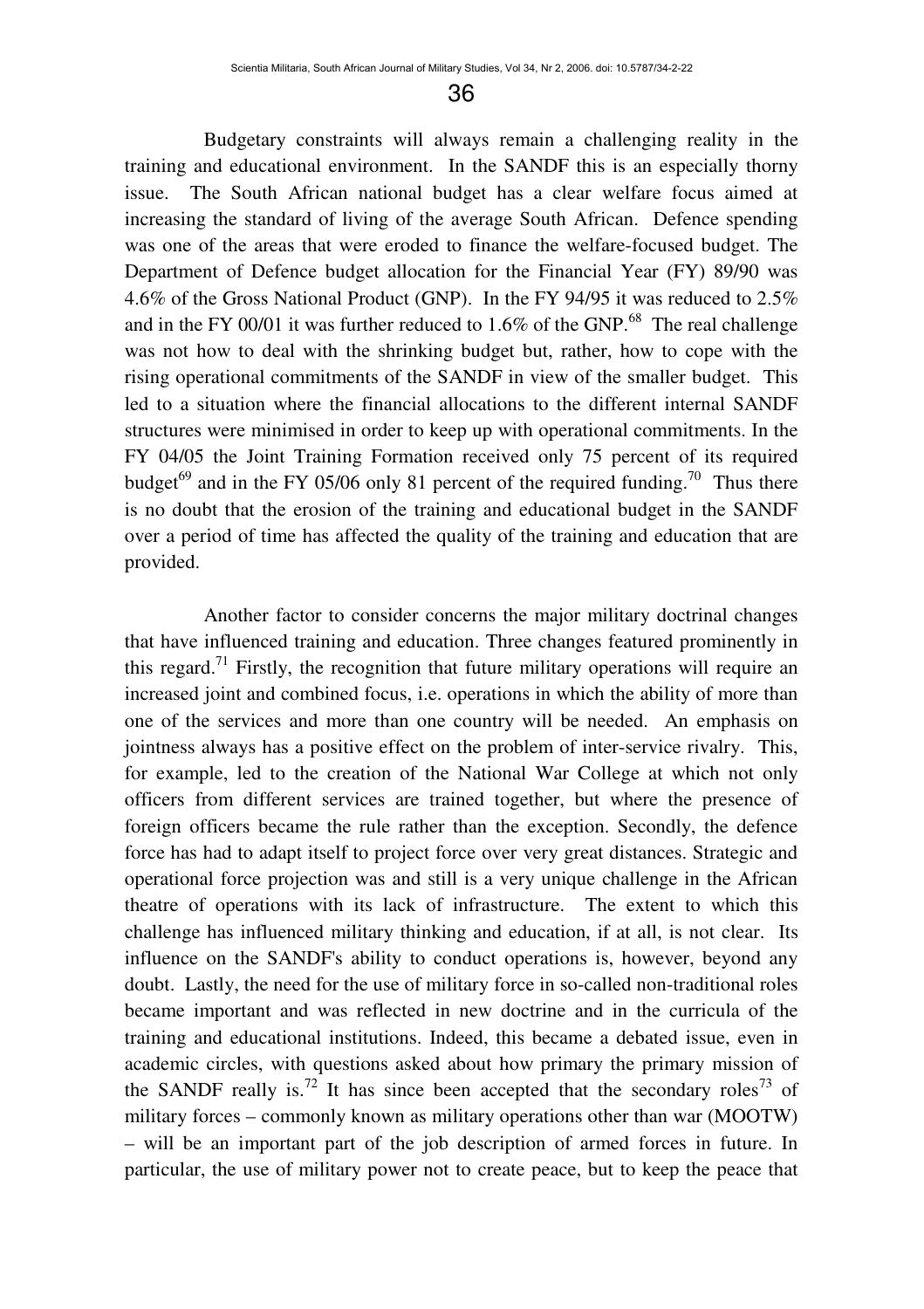Budgetary constraints will always remain a challenging reality in the training and educational environment. In the SANDF this is an especially thorny issue. The South African national budget has a clear welfare focus aimed at increasing the standard of living of the average South African. Defence spending was one of the areas that were eroded to finance the welfare-focused budget. The Department of Defence budget allocation for the Financial Year (FY) 89/90 was 4.6% of the Gross National Product (GNP). In the FY 94/95 it was reduced to 2.5% and in the FY 00/01 it was further reduced to  $1.6\%$  of the GNP.<sup>68</sup> The real challenge was not how to deal with the shrinking budget but, rather, how to cope with the rising operational commitments of the SANDF in view of the smaller budget. This led to a situation where the financial allocations to the different internal SANDF structures were minimised in order to keep up with operational commitments. In the FY 04/05 the Joint Training Formation received only 75 percent of its required budget<sup>69</sup> and in the FY 05/06 only 81 percent of the required funding.<sup>70</sup> Thus there is no doubt that the erosion of the training and educational budget in the SANDF over a period of time has affected the quality of the training and education that are provided.

Another factor to consider concerns the major military doctrinal changes that have influenced training and education. Three changes featured prominently in this regard.<sup>71</sup> Firstly, the recognition that future military operations will require an increased joint and combined focus, i.e. operations in which the ability of more than one of the services and more than one country will be needed. An emphasis on jointness always has a positive effect on the problem of inter-service rivalry. This, for example, led to the creation of the National War College at which not only officers from different services are trained together, but where the presence of foreign officers became the rule rather than the exception. Secondly, the defence force has had to adapt itself to project force over very great distances. Strategic and operational force projection was and still is a very unique challenge in the African theatre of operations with its lack of infrastructure. The extent to which this challenge has influenced military thinking and education, if at all, is not clear. Its influence on the SANDF's ability to conduct operations is, however, beyond any doubt. Lastly, the need for the use of military force in so-called non-traditional roles became important and was reflected in new doctrine and in the curricula of the training and educational institutions. Indeed, this became a debated issue, even in academic circles, with questions asked about how primary the primary mission of the SANDF really is.<sup>72</sup> It has since been accepted that the secondary roles<sup>73</sup> of military forces – commonly known as military operations other than war (MOOTW) – will be an important part of the job description of armed forces in future. In particular, the use of military power not to create peace, but to keep the peace that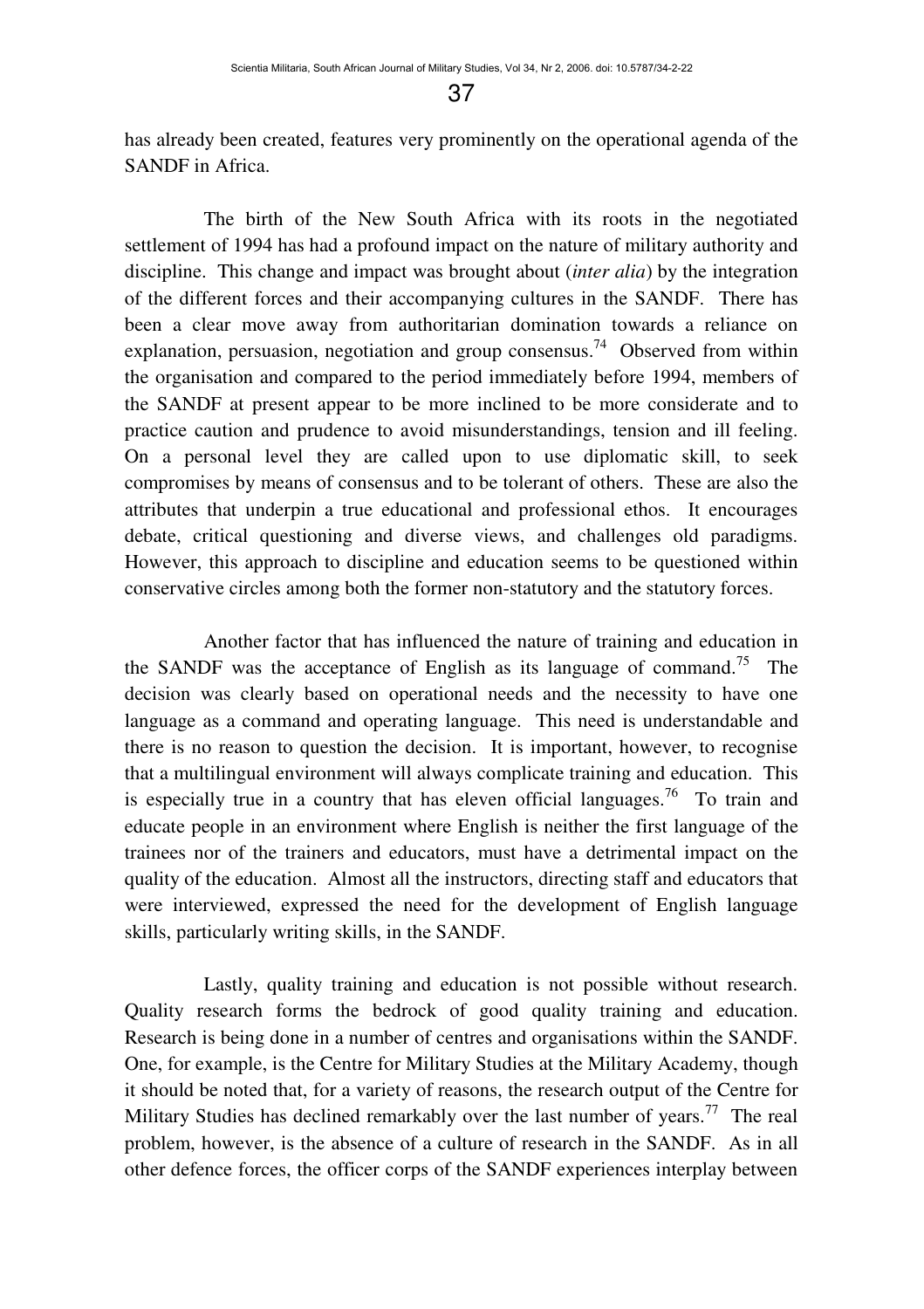has already been created, features very prominently on the operational agenda of the SANDF in Africa.

The birth of the New South Africa with its roots in the negotiated settlement of 1994 has had a profound impact on the nature of military authority and discipline. This change and impact was brought about (*inter alia*) by the integration of the different forces and their accompanying cultures in the SANDF. There has been a clear move away from authoritarian domination towards a reliance on explanation, persuasion, negotiation and group consensus.<sup>74</sup> Observed from within the organisation and compared to the period immediately before 1994, members of the SANDF at present appear to be more inclined to be more considerate and to practice caution and prudence to avoid misunderstandings, tension and ill feeling. On a personal level they are called upon to use diplomatic skill, to seek compromises by means of consensus and to be tolerant of others. These are also the attributes that underpin a true educational and professional ethos. It encourages debate, critical questioning and diverse views, and challenges old paradigms. However, this approach to discipline and education seems to be questioned within conservative circles among both the former non-statutory and the statutory forces.

Another factor that has influenced the nature of training and education in the SANDF was the acceptance of English as its language of command.<sup>75</sup> The decision was clearly based on operational needs and the necessity to have one language as a command and operating language. This need is understandable and there is no reason to question the decision. It is important, however, to recognise that a multilingual environment will always complicate training and education. This is especially true in a country that has eleven official languages.<sup>76</sup> To train and educate people in an environment where English is neither the first language of the trainees nor of the trainers and educators, must have a detrimental impact on the quality of the education. Almost all the instructors, directing staff and educators that were interviewed, expressed the need for the development of English language skills, particularly writing skills, in the SANDF.

Lastly, quality training and education is not possible without research. Quality research forms the bedrock of good quality training and education. Research is being done in a number of centres and organisations within the SANDF. One, for example, is the Centre for Military Studies at the Military Academy, though it should be noted that, for a variety of reasons, the research output of the Centre for Military Studies has declined remarkably over the last number of years.<sup>77</sup> The real problem, however, is the absence of a culture of research in the SANDF. As in all other defence forces, the officer corps of the SANDF experiences interplay between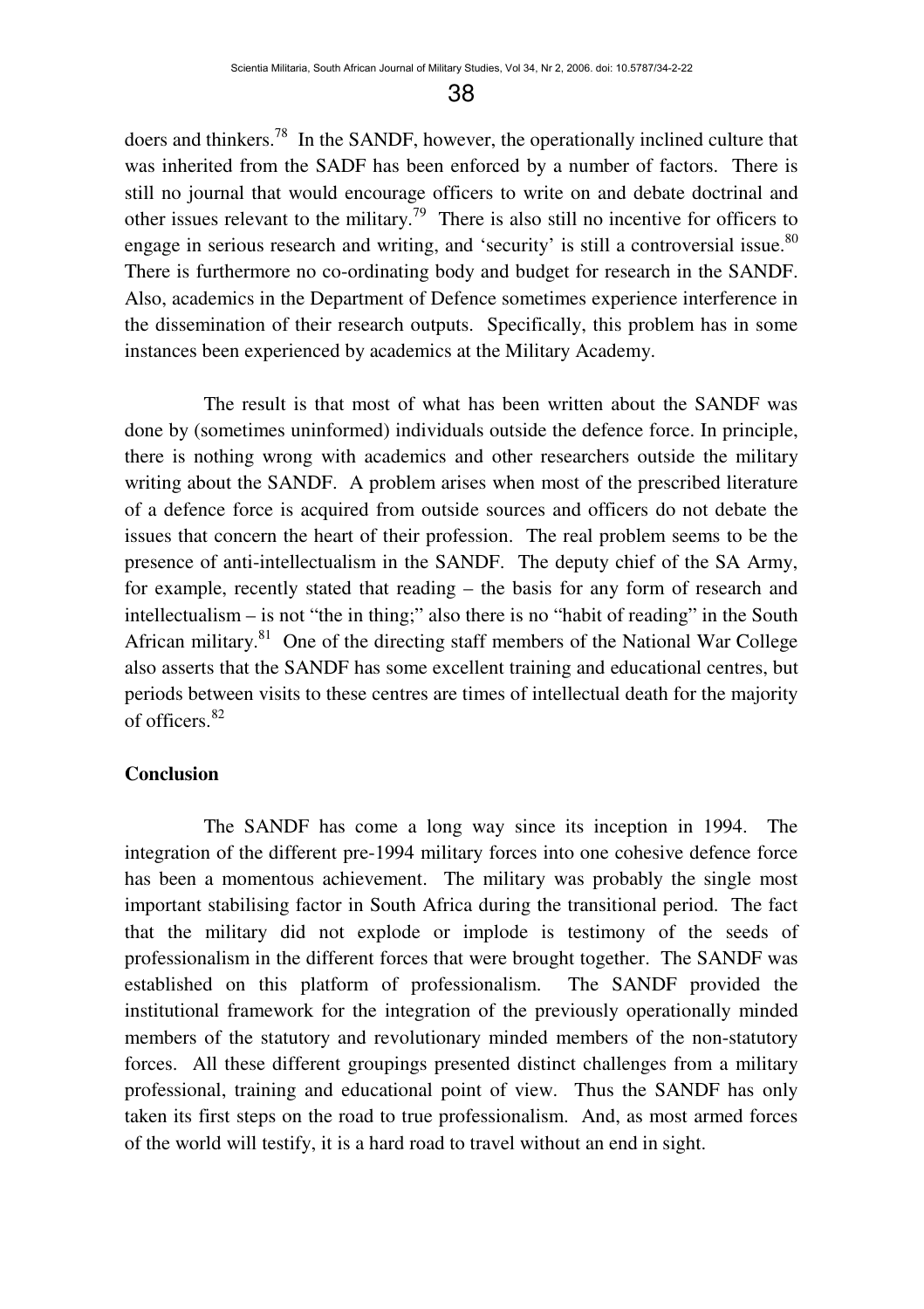doers and thinkers.<sup>78</sup> In the SANDF, however, the operationally inclined culture that was inherited from the SADF has been enforced by a number of factors. There is still no journal that would encourage officers to write on and debate doctrinal and other issues relevant to the military.<sup>79</sup> There is also still no incentive for officers to engage in serious research and writing, and 'security' is still a controversial issue.<sup>80</sup> There is furthermore no co-ordinating body and budget for research in the SANDF. Also, academics in the Department of Defence sometimes experience interference in the dissemination of their research outputs. Specifically, this problem has in some instances been experienced by academics at the Military Academy.

The result is that most of what has been written about the SANDF was done by (sometimes uninformed) individuals outside the defence force. In principle, there is nothing wrong with academics and other researchers outside the military writing about the SANDF. A problem arises when most of the prescribed literature of a defence force is acquired from outside sources and officers do not debate the issues that concern the heart of their profession. The real problem seems to be the presence of anti-intellectualism in the SANDF. The deputy chief of the SA Army, for example, recently stated that reading – the basis for any form of research and intellectualism – is not "the in thing;" also there is no "habit of reading" in the South African military.<sup>81</sup> One of the directing staff members of the National War College also asserts that the SANDF has some excellent training and educational centres, but periods between visits to these centres are times of intellectual death for the majority of officers.<sup>82</sup>

#### **Conclusion**

The SANDF has come a long way since its inception in 1994. The integration of the different pre-1994 military forces into one cohesive defence force has been a momentous achievement. The military was probably the single most important stabilising factor in South Africa during the transitional period. The fact that the military did not explode or implode is testimony of the seeds of professionalism in the different forces that were brought together. The SANDF was established on this platform of professionalism. The SANDF provided the institutional framework for the integration of the previously operationally minded members of the statutory and revolutionary minded members of the non-statutory forces. All these different groupings presented distinct challenges from a military professional, training and educational point of view. Thus the SANDF has only taken its first steps on the road to true professionalism. And, as most armed forces of the world will testify, it is a hard road to travel without an end in sight.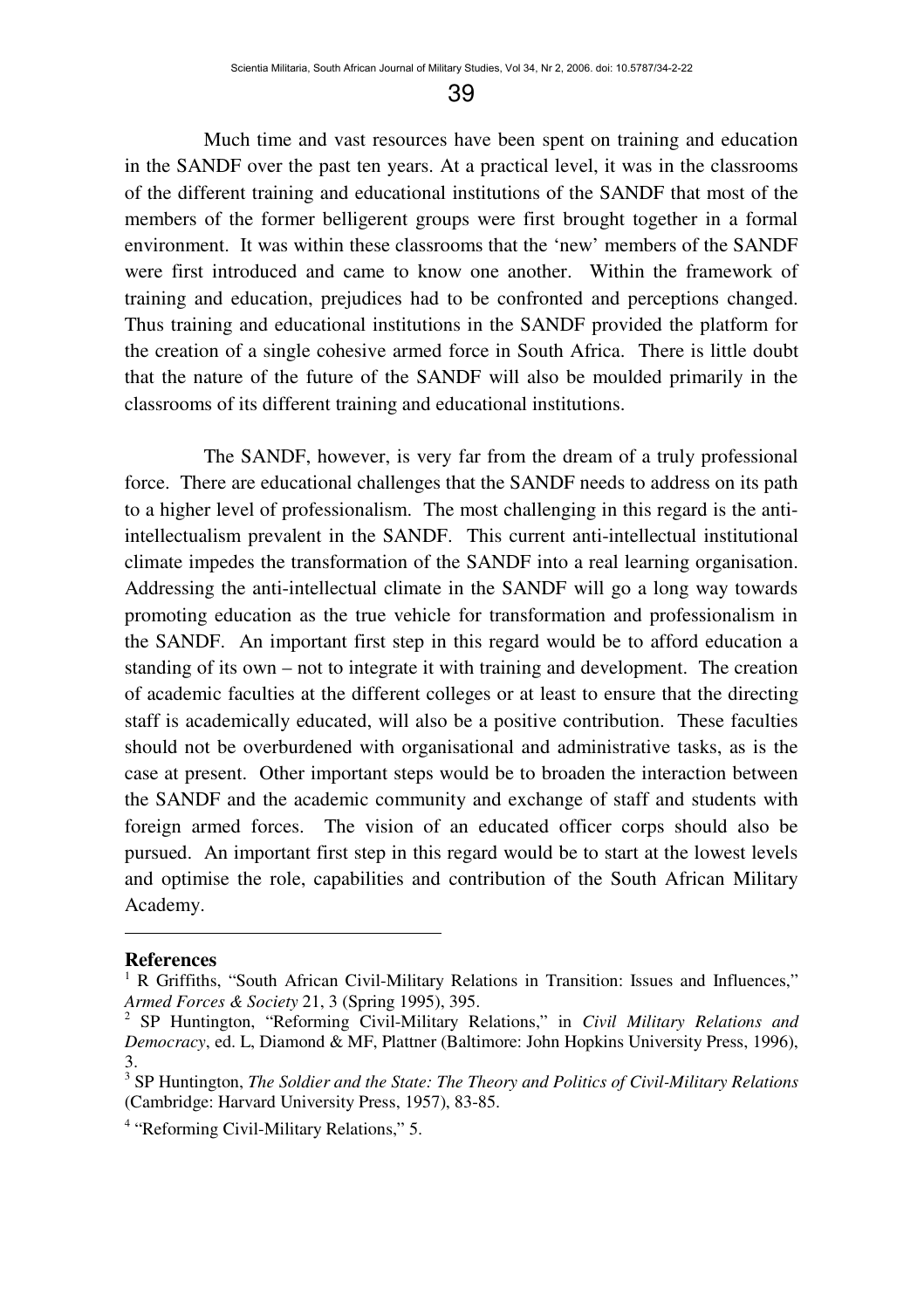Much time and vast resources have been spent on training and education in the SANDF over the past ten years. At a practical level, it was in the classrooms of the different training and educational institutions of the SANDF that most of the members of the former belligerent groups were first brought together in a formal environment. It was within these classrooms that the 'new' members of the SANDF were first introduced and came to know one another. Within the framework of training and education, prejudices had to be confronted and perceptions changed. Thus training and educational institutions in the SANDF provided the platform for the creation of a single cohesive armed force in South Africa. There is little doubt that the nature of the future of the SANDF will also be moulded primarily in the classrooms of its different training and educational institutions.

The SANDF, however, is very far from the dream of a truly professional force. There are educational challenges that the SANDF needs to address on its path to a higher level of professionalism. The most challenging in this regard is the antiintellectualism prevalent in the SANDF. This current anti-intellectual institutional climate impedes the transformation of the SANDF into a real learning organisation. Addressing the anti-intellectual climate in the SANDF will go a long way towards promoting education as the true vehicle for transformation and professionalism in the SANDF. An important first step in this regard would be to afford education a standing of its own – not to integrate it with training and development. The creation of academic faculties at the different colleges or at least to ensure that the directing staff is academically educated, will also be a positive contribution. These faculties should not be overburdened with organisational and administrative tasks, as is the case at present. Other important steps would be to broaden the interaction between the SANDF and the academic community and exchange of staff and students with foreign armed forces. The vision of an educated officer corps should also be pursued. An important first step in this regard would be to start at the lowest levels and optimise the role, capabilities and contribution of the South African Military Academy.

#### **References**

 $\overline{a}$ 

<sup>1</sup> R Griffiths, "South African Civil-Military Relations in Transition: Issues and Influences," *Armed Forces & Society* 21, 3 (Spring 1995), 395.

<sup>2</sup> SP Huntington, "Reforming Civil-Military Relations," in *Civil Military Relations and Democracy*, ed. L, Diamond & MF, Plattner (Baltimore: John Hopkins University Press, 1996), 3.

<sup>3</sup> SP Huntington, *The Soldier and the State: The Theory and Politics of Civil-Military Relations* (Cambridge: Harvard University Press, 1957), 83-85.

<sup>4</sup> "Reforming Civil-Military Relations," 5.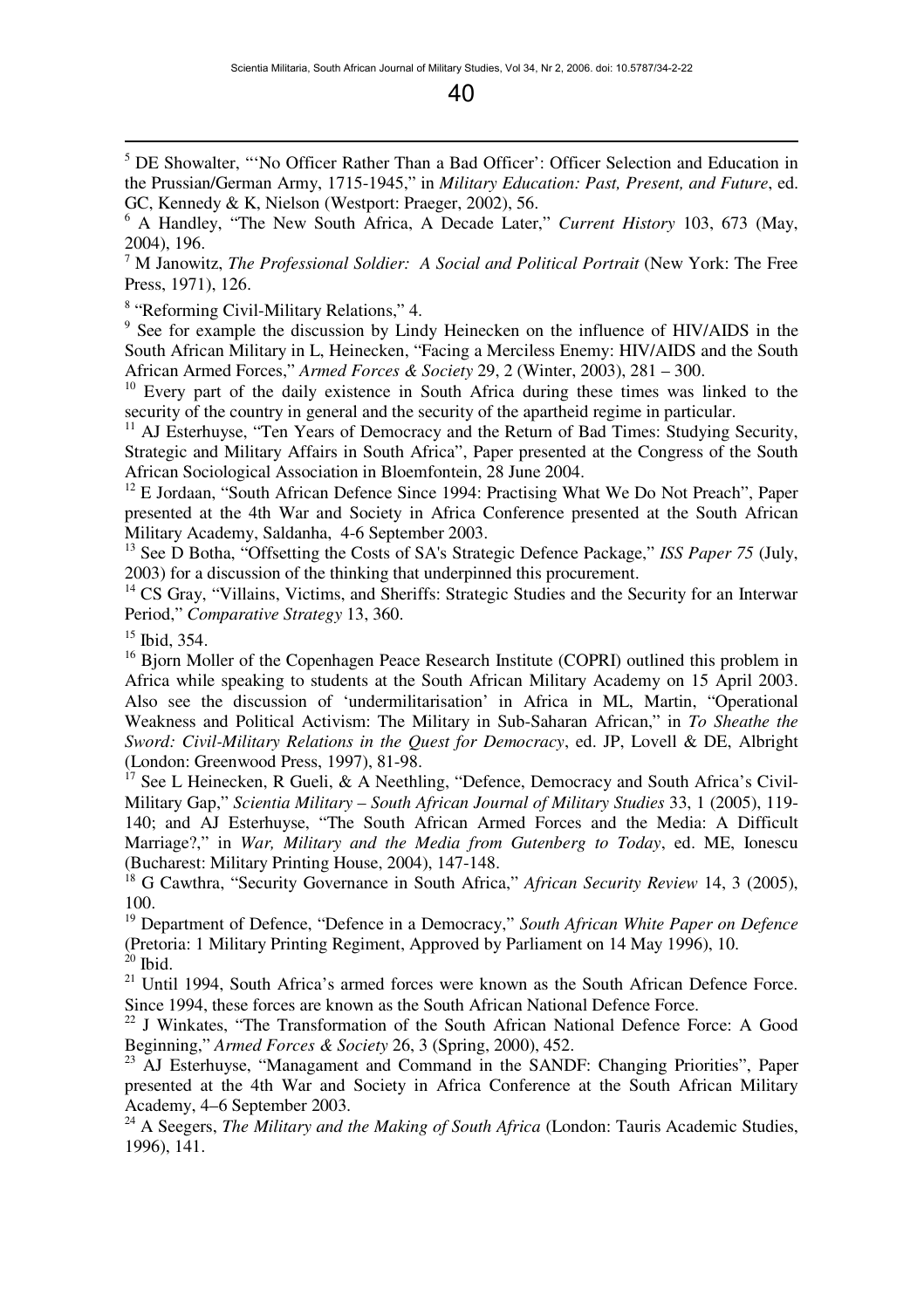<sup>5</sup> DE Showalter, "'No Officer Rather Than a Bad Officer': Officer Selection and Education in the Prussian/German Army, 1715-1945," in *Military Education: Past, Present, and Future*, ed. GC, Kennedy & K, Nielson (Westport: Praeger, 2002), 56.

7 M Janowitz, *The Professional Soldier: A Social and Political Portrait* (New York: The Free Press, 1971), 126.

<sup>8</sup> "Reforming Civil-Military Relations," 4.

<sup>9</sup> See for example the discussion by Lindy Heinecken on the influence of HIV/AIDS in the South African Military in L, Heinecken, "Facing a Merciless Enemy: HIV/AIDS and the South African Armed Forces," *Armed Forces & Society* 29, 2 (Winter, 2003), 281 – 300.

<sup>10</sup> Every part of the daily existence in South Africa during these times was linked to the security of the country in general and the security of the apartheid regime in particular.

<sup>11</sup> AJ Esterhuyse, "Ten Years of Democracy and the Return of Bad Times: Studying Security, Strategic and Military Affairs in South Africa", Paper presented at the Congress of the South African Sociological Association in Bloemfontein, 28 June 2004.

 $12$  E Jordaan, "South African Defence Since 1994: Practising What We Do Not Preach", Paper presented at the 4th War and Society in Africa Conference presented at the South African Military Academy, Saldanha, 4-6 September 2003.

<sup>13</sup> See D Botha, "Offsetting the Costs of SA's Strategic Defence Package," *ISS Paper 75* (July, 2003) for a discussion of the thinking that underpinned this procurement.

<sup>14</sup> CS Gray, "Villains, Victims, and Sheriffs: Strategic Studies and the Security for an Interwar Period," *Comparative Strategy* 13, 360.

 $15$  Ibid, 354.

 $\overline{a}$ 

<sup>16</sup> Bjorn Moller of the Copenhagen Peace Research Institute (COPRI) outlined this problem in Africa while speaking to students at the South African Military Academy on 15 April 2003. Also see the discussion of 'undermilitarisation' in Africa in ML, Martin, "Operational Weakness and Political Activism: The Military in Sub-Saharan African," in *To Sheathe the Sword: Civil-Military Relations in the Quest for Democracy*, ed. JP, Lovell & DE, Albright (London: Greenwood Press, 1997), 81-98.

See L Heinecken, R Gueli, & A Neethling, "Defence, Democracy and South Africa's Civil-Military Gap," *Scientia Military – South African Journal of Military Studies* 33, 1 (2005), 119- 140; and AJ Esterhuyse, "The South African Armed Forces and the Media: A Difficult Marriage?," in *War, Military and the Media from Gutenberg to Today*, ed. ME, Ionescu (Bucharest: Military Printing House, 2004), 147-148.

<sup>18</sup> G Cawthra, "Security Governance in South Africa," *African Security Review* 14, 3 (2005), 100.

<sup>19</sup> Department of Defence, "Defence in a Democracy," *South African White Paper on Defence* (Pretoria: 1 Military Printing Regiment, Approved by Parliament on 14 May 1996), 10.  $20$  Ibid.

<sup>21</sup> Until 1994, South Africa's armed forces were known as the South African Defence Force. Since 1994, these forces are known as the South African National Defence Force.

<sup>22</sup> J Winkates, "The Transformation of the South African National Defence Force: A Good Beginning," *Armed Forces & Society* 26, 3 (Spring, 2000), 452.

<sup>23</sup> AJ Esterhuyse, "Managament and Command in the SANDF: Changing Priorities", Paper presented at the 4th War and Society in Africa Conference at the South African Military Academy, 4–6 September 2003.

<sup>24</sup> A Seegers, *The Military and the Making of South Africa* (London: Tauris Academic Studies, 1996), 141.

<sup>6</sup> A Handley, "The New South Africa, A Decade Later," *Current History* 103, 673 (May, 2004), 196.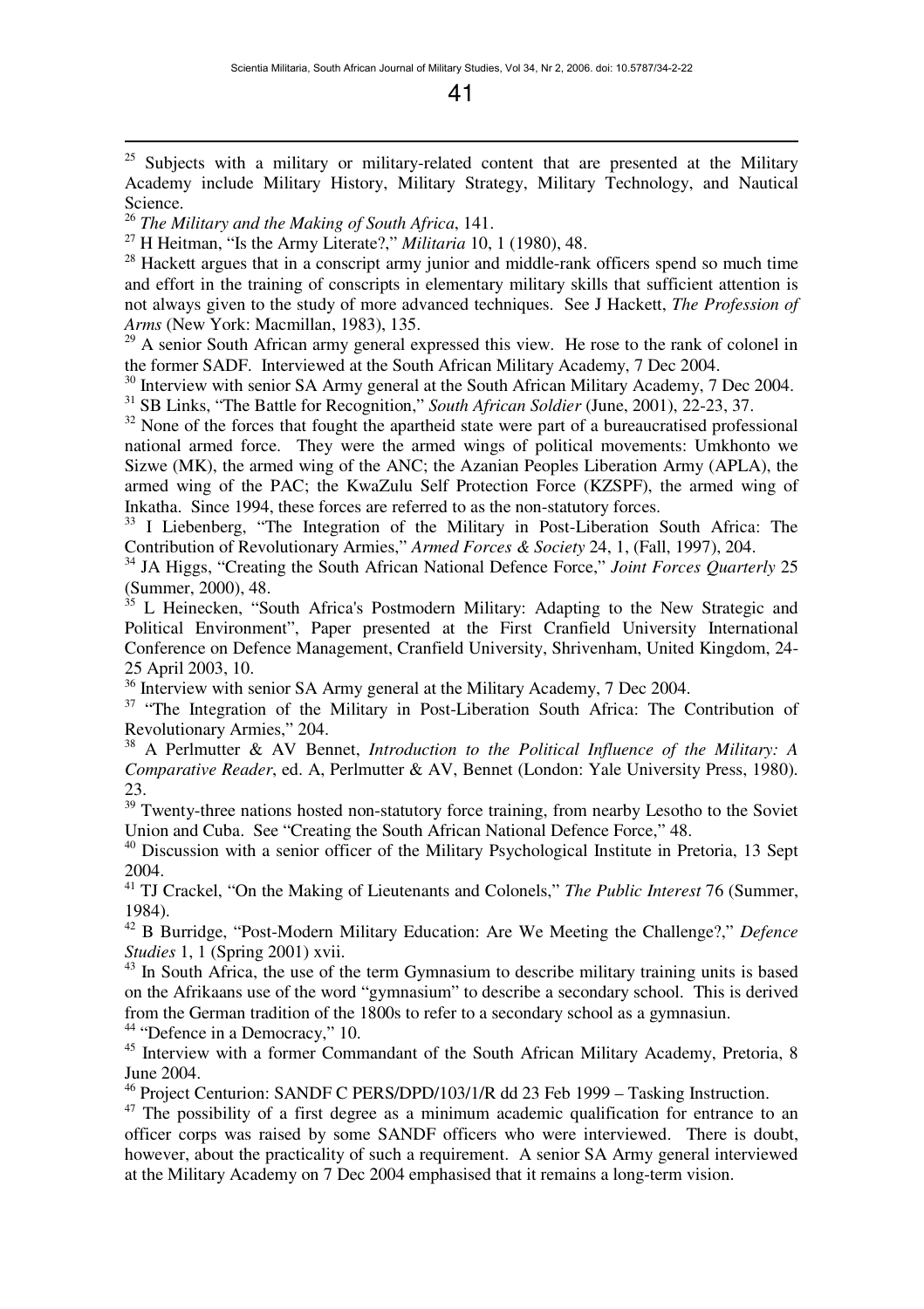<sup>25</sup> Subjects with a military or military-related content that are presented at the Military Academy include Military History, Military Strategy, Military Technology, and Nautical Science.

<sup>26</sup> *The Military and the Making of South Africa*, 141.

 $\overline{a}$ 

<sup>27</sup> H Heitman, "Is the Army Literate?," *Militaria* 10, 1 (1980), 48.

 $28$  Hackett argues that in a conscript army junior and middle-rank officers spend so much time and effort in the training of conscripts in elementary military skills that sufficient attention is not always given to the study of more advanced techniques. See J Hackett, *The Profession of Arms* (New York: Macmillan, 1983), 135.

 $29$  A senior South African army general expressed this view. He rose to the rank of colonel in the former SADF. Interviewed at the South African Military Academy, 7 Dec 2004.

<sup>30</sup> Interview with senior SA Army general at the South African Military Academy, 7 Dec 2004. <sup>31</sup> SB Links, "The Battle for Recognition," *South African Soldier* (June, 2001), 22-23, 37.

<sup>32</sup> None of the forces that fought the apartheid state were part of a bureaucratised professional national armed force. They were the armed wings of political movements: Umkhonto we Sizwe (MK), the armed wing of the ANC; the Azanian Peoples Liberation Army (APLA), the armed wing of the PAC; the KwaZulu Self Protection Force (KZSPF), the armed wing of Inkatha. Since 1994, these forces are referred to as the non-statutory forces.

<sup>33</sup> I Liebenberg, "The Integration of the Military in Post-Liberation South Africa: The Contribution of Revolutionary Armies," *Armed Forces & Society* 24, 1, (Fall, 1997), 204.

<sup>34</sup> JA Higgs, "Creating the South African National Defence Force," *Joint Forces Quarterly* 25 (Summer, 2000), 48.

<sup>35</sup> L Heinecken, "South Africa's Postmodern Military: Adapting to the New Strategic and Political Environment", Paper presented at the First Cranfield University International Conference on Defence Management, Cranfield University, Shrivenham, United Kingdom, 24- 25 April 2003, 10.

 $36$  Interview with senior SA Army general at the Military Academy, 7 Dec 2004.

<sup>37</sup> "The Integration of the Military in Post-Liberation South Africa: The Contribution of Revolutionary Armies," 204.

<sup>38</sup> A Perlmutter & AV Bennet, *Introduction to the Political Influence of the Military: A Comparative Reader*, ed. A, Perlmutter & AV, Bennet (London: Yale University Press, 1980). 23.

 $39$  Twenty-three nations hosted non-statutory force training, from nearby Lesotho to the Soviet Union and Cuba. See "Creating the South African National Defence Force," 48.

<sup>40</sup> Discussion with a senior officer of the Military Psychological Institute in Pretoria, 13 Sept 2004.

<sup>41</sup> TJ Crackel, "On the Making of Lieutenants and Colonels," *The Public Interest* 76 (Summer, 1984).

<sup>42</sup> B Burridge, "Post-Modern Military Education: Are We Meeting the Challenge?," *Defence* 

*Studies* 1, 1 (Spring 2001) xvii. <sup>43</sup> In South Africa, the use of the term Gymnasium to describe military training units is based on the Afrikaans use of the word "gymnasium" to describe a secondary school. This is derived from the German tradition of the 1800s to refer to a secondary school as a gymnasiun.

<sup>44</sup> "Defence in a Democracy," 10.

<sup>45</sup> Interview with a former Commandant of the South African Military Academy, Pretoria, 8 June 2004.

<sup>46</sup> Project Centurion: SANDF C PERS/DPD/103/1/R dd 23 Feb 1999 – Tasking Instruction.

<sup>47</sup> The possibility of a first degree as a minimum academic qualification for entrance to an officer corps was raised by some SANDF officers who were interviewed. There is doubt, however, about the practicality of such a requirement. A senior SA Army general interviewed at the Military Academy on 7 Dec 2004 emphasised that it remains a long-term vision.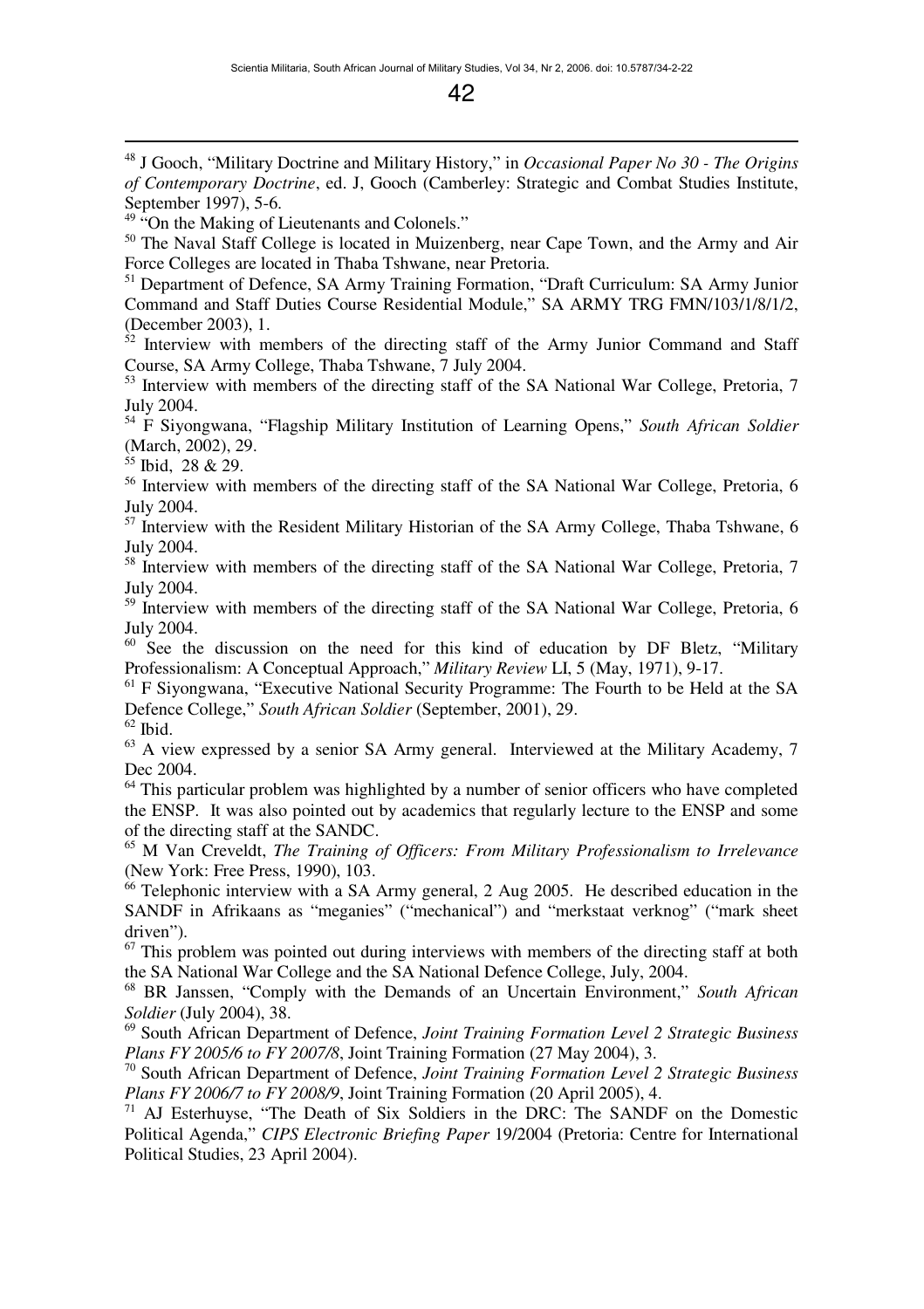<sup>48</sup> J Gooch, "Military Doctrine and Military History," in *Occasional Paper No 30 - The Origins of Contemporary Doctrine*, ed. J, Gooch (Camberley: Strategic and Combat Studies Institute, September 1997), 5-6.

<sup>49</sup> "On the Making of Lieutenants and Colonels."

<sup>50</sup> The Naval Staff College is located in Muizenberg, near Cape Town, and the Army and Air Force Colleges are located in Thaba Tshwane, near Pretoria.

<sup>51</sup> Department of Defence, SA Army Training Formation, "Draft Curriculum: SA Army Junior Command and Staff Duties Course Residential Module," SA ARMY TRG FMN/103/1/8/1/2, (December 2003), 1.

 $52$  Interview with members of the directing staff of the Army Junior Command and Staff Course, SA Army College, Thaba Tshwane, 7 July 2004.

<sup>53</sup> Interview with members of the directing staff of the SA National War College, Pretoria, 7 July 2004.

<sup>54</sup> F Siyongwana, "Flagship Military Institution of Learning Opens," *South African Soldier* (March, 2002), 29.

 $55$  Ibid, 28 & 29.

 $\overline{a}$ 

<sup>56</sup> Interview with members of the directing staff of the SA National War College, Pretoria, 6 July 2004.

<sup>57</sup> Interview with the Resident Military Historian of the SA Army College, Thaba Tshwane, 6 July 2004.

<sup>58</sup> Interview with members of the directing staff of the SA National War College, Pretoria, 7 July 2004.

<sup>59</sup> Interview with members of the directing staff of the SA National War College, Pretoria, 6 July 2004.

<sup>60</sup> See the discussion on the need for this kind of education by DF Bletz, "Military Professionalism: A Conceptual Approach," *Military Review* LI, 5 (May, 1971), 9-17.

<sup>61</sup> F Siyongwana, "Executive National Security Programme: The Fourth to be Held at the SA Defence College," *South African Soldier* (September, 2001), 29.

 $62$  Ibid.

 $63$  A view expressed by a senior SA Army general. Interviewed at the Military Academy, 7 Dec 2004.

 $64$  This particular problem was highlighted by a number of senior officers who have completed the ENSP. It was also pointed out by academics that regularly lecture to the ENSP and some of the directing staff at the SANDC.

<sup>65</sup> M Van Creveldt, *The Training of Officers: From Military Professionalism to Irrelevance* (New York: Free Press, 1990), 103.

 $66$  Telephonic interview with a SA Army general, 2 Aug 2005. He described education in the SANDF in Afrikaans as "meganies" ("mechanical") and "merkstaat verknog" ("mark sheet driven").

 $67$  This problem was pointed out during interviews with members of the directing staff at both the SA National War College and the SA National Defence College, July, 2004.

<sup>68</sup> BR Janssen, "Comply with the Demands of an Uncertain Environment," *South African Soldier* (July 2004), 38.

<sup>69</sup> South African Department of Defence, *Joint Training Formation Level 2 Strategic Business Plans FY 2005/6 to FY 2007/8*, Joint Training Formation (27 May 2004), 3.

<sup>70</sup> South African Department of Defence, *Joint Training Formation Level 2 Strategic Business Plans FY 2006/7 to FY 2008/9*, Joint Training Formation (20 April 2005), 4.

<sup>71</sup> AJ Esterhuyse, "The Death of Six Soldiers in the DRC: The SANDF on the Domestic Political Agenda," *CIPS Electronic Briefing Paper* 19/2004 (Pretoria: Centre for International Political Studies, 23 April 2004).